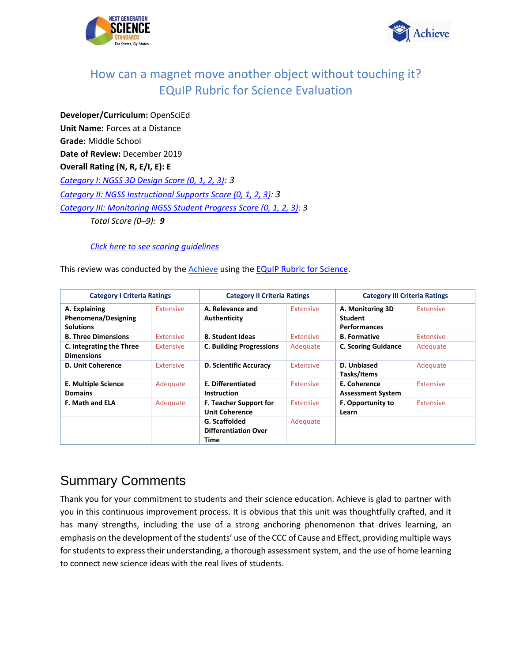<span id="page-0-0"></span>



## How can a magnet move another object without touching it? EQuIP Rubric for Science Evaluation

**Developer/Curriculum:** OpenSciEd **Unit Name:** Forces at a Distance **Grade:** Middle School **Date of Review:** December 2019 **Overall Rating (N, R, E/I, E): E** *[Category I: NGSS 3D Design Score \(0, 1, 2, 3\):](#page-0-0) 3 [Category II: NGSS Instructional Supports Score \(0, 1, 2, 3\):](#page-20-0) 3 [Category III: Monitoring NGSS Student Progress Score \(0, 1, 2, 3\):](#page-36-0) 3 Total Score (0–9): 9*

*[Click here to see scoring guidelines](#page-45-0)*

This review was conducted by the **Achieve using the EQuIP Rubric for Science**.

| <b>Category I Criteria Ratings</b>                              |                  | <b>Category II Criteria Ratings</b>                    |                  | <b>Category III Criteria Ratings</b>                      |                  |
|-----------------------------------------------------------------|------------------|--------------------------------------------------------|------------------|-----------------------------------------------------------|------------------|
| A. Explaining<br><b>Phenomena/Designing</b><br><b>Solutions</b> | <b>Extensive</b> | A. Relevance and<br>Authenticity                       | Extensive        | A. Monitoring 3D<br><b>Student</b><br><b>Performances</b> | Extensive        |
| <b>B. Three Dimensions</b>                                      | <b>Extensive</b> | <b>B. Student Ideas</b>                                | <b>Extensive</b> | <b>B.</b> Formative                                       | <b>Extensive</b> |
| C. Integrating the Three<br><b>Dimensions</b>                   | <b>Extensive</b> | <b>C. Building Progressions</b>                        | Adequate         | <b>C. Scoring Guidance</b>                                | Adequate         |
| D. Unit Coherence                                               | <b>Extensive</b> | <b>D. Scientific Accuracy</b>                          | <b>Extensive</b> | D. Unbiased<br>Tasks/Items                                | Adequate         |
| <b>E. Multiple Science</b><br><b>Domains</b>                    | Adequate         | E. Differentiated<br><b>Instruction</b>                | <b>Extensive</b> | E. Coherence<br><b>Assessment System</b>                  | <b>Extensive</b> |
| <b>F. Math and ELA</b>                                          | Adequate         | <b>F. Teacher Support for</b><br><b>Unit Coherence</b> | Extensive        | <b>F. Opportunity to</b><br>Learn                         | Extensive        |
|                                                                 |                  | G. Scaffolded<br><b>Differentiation Over</b><br>Time   | Adequate         |                                                           |                  |

# Summary Comments

Thank you for your commitment to students and their science education. Achieve is glad to partner with you in this continuous improvement process. It is obvious that this unit was thoughtfully crafted, and it has many strengths, including the use of a strong anchoring phenomenon that drives learning, an emphasis on the development of the students' use of the CCC of Cause and Effect, providing multiple ways for students to express their understanding, a thorough assessment system, and the use of home learning to connect new science ideas with the real lives of students.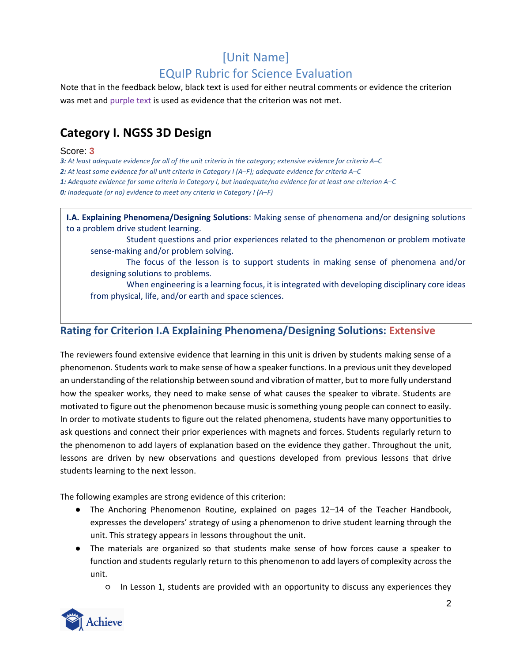## EQuIP Rubric for Science Evaluation

Note that in the feedback below, black text is used for either neutral comments or evidence the criterion was met and purple text is used as evidence that the criterion was not met.

## **Category I. NGSS 3D Design**

#### Score: **3**

*3: At least adequate evidence for all of the unit criteria in the category; extensive evidence for criteria A–C 2: At least some evidence for all unit criteria in Category I (A–F); adequate evidence for criteria A–C 1: Adequate evidence for some criteria in Category I, but inadequate/no evidence for at least one criterion A–C 0: Inadequate (or no) evidence to meet any criteria in Category I (A–F)*

**I.A. Explaining Phenomena/Designing Solutions**: Making sense of phenomena and/or designing solutions to a problem drive student learning.

Student questions and prior experiences related to the phenomenon or problem motivate sense-making and/or problem solving.

The focus of the lesson is to support students in making sense of phenomena and/or designing solutions to problems.

When engineering is a learning focus, it is integrated with developing disciplinary core ideas from physical, life, and/or earth and space sciences.

### **Rating for Criterion I.A Explaining Phenomena/Designing Solutions: Extensive**

The reviewers found extensive evidence that learning in this unit is driven by students making sense of a phenomenon. Students work to make sense of how a speaker functions. In a previous unit they developed an understanding of the relationship between sound and vibration of matter, but to more fully understand how the speaker works, they need to make sense of what causes the speaker to vibrate. Students are motivated to figure out the phenomenon because music is something young people can connect to easily. In order to motivate students to figure out the related phenomena, students have many opportunities to ask questions and connect their prior experiences with magnets and forces. Students regularly return to the phenomenon to add layers of explanation based on the evidence they gather. Throughout the unit, lessons are driven by new observations and questions developed from previous lessons that drive students learning to the next lesson.

- The Anchoring Phenomenon Routine, explained on pages 12*–*14 of the Teacher Handbook, expresses the developers' strategy of using a phenomenon to drive student learning through the unit. This strategy appears in lessons throughout the unit.
- The materials are organized so that students make sense of how forces cause a speaker to function and students regularly return to this phenomenon to add layers of complexity across the unit.
	- In Lesson 1, students are provided with an opportunity to discuss any experiences they

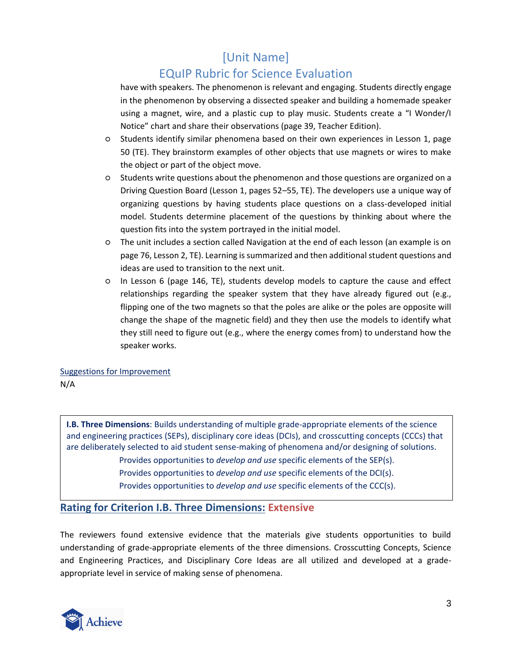## EQuIP Rubric for Science Evaluation

have with speakers. The phenomenon is relevant and engaging. Students directly engage in the phenomenon by observing a dissected speaker and building a homemade speaker using a magnet, wire, and a plastic cup to play music. Students create a "I Wonder/I Notice" chart and share their observations (page 39, Teacher Edition).

- Students identify similar phenomena based on their own experiences in Lesson 1, page 50 (TE). They brainstorm examples of other objects that use magnets or wires to make the object or part of the object move.
- Students write questions about the phenomenon and those questions are organized on a Driving Question Board (Lesson 1, pages 52*–*55, TE). The developers use a unique way of organizing questions by having students place questions on a class-developed initial model. Students determine placement of the questions by thinking about where the question fits into the system portrayed in the initial model.
- The unit includes a section called Navigation at the end of each lesson (an example is on page 76, Lesson 2, TE). Learning is summarized and then additional student questions and ideas are used to transition to the next unit.
- In Lesson 6 (page 146, TE), students develop models to capture the cause and effect relationships regarding the speaker system that they have already figured out (e.g., flipping one of the two magnets so that the poles are alike or the poles are opposite will change the shape of the magnetic field) and they then use the models to identify what they still need to figure out (e.g., where the energy comes from) to understand how the speaker works.

Suggestions for Improvement N/A

**I.B. Three Dimensions**: Builds understanding of multiple grade-appropriate elements of the science and engineering practices (SEPs), disciplinary core ideas (DCIs), and crosscutting concepts (CCCs) that are deliberately selected to aid student sense-making of phenomena and/or designing of solutions. Provides opportunities to *develop and use* specific elements of the SEP(s). Provides opportunities to *develop and use* specific elements of the DCI(s). Provides opportunities to *develop and use* specific elements of the CCC(s).

### **Rating for Criterion I.B. Three Dimensions: Extensive**

The reviewers found extensive evidence that the materials give students opportunities to build understanding of grade-appropriate elements of the three dimensions. Crosscutting Concepts, Science and Engineering Practices, and Disciplinary Core Ideas are all utilized and developed at a gradeappropriate level in service of making sense of phenomena.

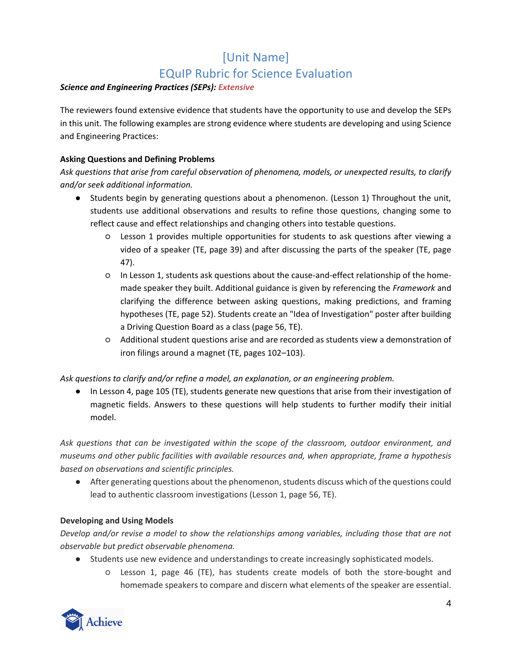#### *Science and Engineering Practices (SEPs): Extensive*

The reviewers found extensive evidence that students have the opportunity to use and develop the SEPs in this unit. The following examples are strong evidence where students are developing and using Science and Engineering Practices:

#### **Asking Questions and Defining Problems**

*Ask questions that arise from careful observation of phenomena, models, or unexpected results, to clarify and/or seek additional information.*

- Students begin by generating questions about a phenomenon. (Lesson 1) Throughout the unit, students use additional observations and results to refine those questions, changing some to reflect cause and effect relationships and changing others into testable questions.
	- Lesson 1 provides multiple opportunities for students to ask questions after viewing a video of a speaker (TE, page 39) and after discussing the parts of the speaker (TE, page 47).
	- In Lesson 1, students ask questions about the cause-and-effect relationship of the homemade speaker they built. Additional guidance is given by referencing the *Framework* and clarifying the difference between asking questions, making predictions, and framing hypotheses (TE, page 52). Students create an "Idea of Investigation" poster after building a Driving Question Board as a class (page 56, TE).
	- Additional student questions arise and are recorded as students view a demonstration of iron filings around a magnet (TE, pages 102*–*103).

*Ask questions to clarify and/or refine a model, an explanation, or an engineering problem.*

● In Lesson 4, page 105 (TE), students generate new questions that arise from their investigation of magnetic fields. Answers to these questions will help students to further modify their initial model.

*Ask questions that can be investigated within the scope of the classroom, outdoor environment, and museums and other public facilities with available resources and, when appropriate, frame a hypothesis based on observations and scientific principles.*

● After generating questions about the phenomenon, students discuss which of the questions could lead to authentic classroom investigations (Lesson 1, page 56, TE).

#### **Developing and Using Models**

*Develop and/or revise a model to show the relationships among variables, including those that are not observable but predict observable phenomena.*

- Students use new evidence and understandings to create increasingly sophisticated models.
	- Lesson 1, page 46 (TE), has students create models of both the store-bought and homemade speakers to compare and discern what elements of the speaker are essential.

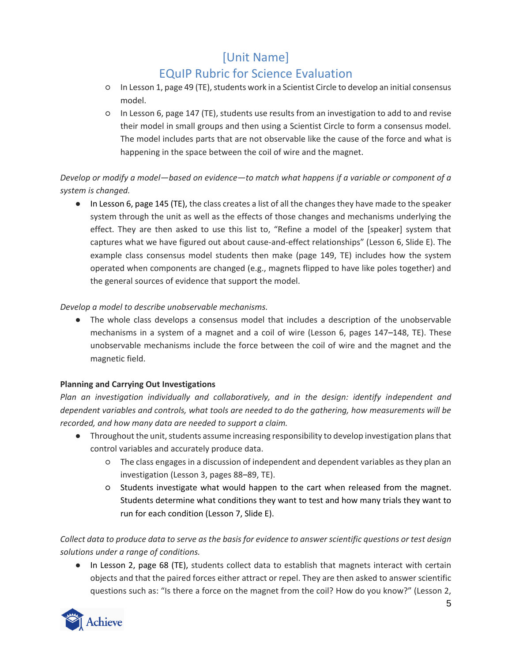- In Lesson 1, page 49 (TE), students work in a Scientist Circle to develop an initial consensus model.
- In Lesson 6, page 147 (TE), students use results from an investigation to add to and revise their model in small groups and then using a Scientist Circle to form a consensus model. The model includes parts that are not observable like the cause of the force and what is happening in the space between the coil of wire and the magnet.

*Develop or modify a model—based on evidence—to match what happens if a variable or component of a system is changed.*

● In Lesson 6, page 145 (TE), the class creates a list of all the changes they have made to the speaker system through the unit as well as the effects of those changes and mechanisms underlying the effect. They are then asked to use this list to, "Refine a model of the [speaker] system that captures what we have figured out about cause-and-effect relationships" (Lesson 6, Slide E). The example class consensus model students then make (page 149, TE) includes how the system operated when components are changed (e.g., magnets flipped to have like poles together) and the general sources of evidence that support the model.

### *Develop a model to describe unobservable mechanisms.*

● The whole class develops a consensus model that includes a description of the unobservable mechanisms in a system of a magnet and a coil of wire (Lesson 6, pages 147*–*148, TE). These unobservable mechanisms include the force between the coil of wire and the magnet and the magnetic field.

#### **Planning and Carrying Out Investigations**

*Plan an investigation individually and collaboratively, and in the design: identify independent and dependent variables and controls, what tools are needed to do the gathering, how measurements will be recorded, and how many data are needed to support a claim.*

- Throughout the unit, students assume increasing responsibility to develop investigation plans that control variables and accurately produce data.
	- The class engages in a discussion of independent and dependent variables as they plan an investigation (Lesson 3, pages 88*–*89, TE).
	- Students investigate what would happen to the cart when released from the magnet. Students determine what conditions they want to test and how many trials they want to run for each condition (Lesson 7, Slide E).

*Collect data to produce data to serve as the basis for evidence to answer scientific questions or test design solutions under a range of conditions.*

● In Lesson 2, page 68 (TE), students collect data to establish that magnets interact with certain objects and that the paired forces either attract or repel. They are then asked to answer scientific questions such as: "Is there a force on the magnet from the coil? How do you know?" (Lesson 2,

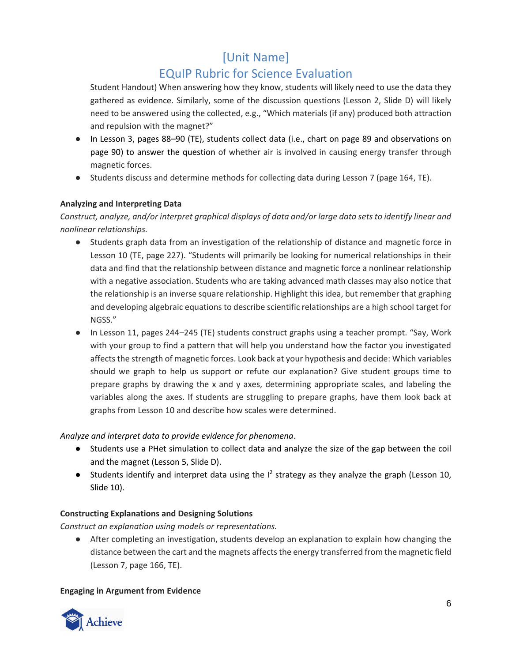## EQuIP Rubric for Science Evaluation

Student Handout) When answering how they know, students will likely need to use the data they gathered as evidence. Similarly, some of the discussion questions (Lesson 2, Slide D) will likely need to be answered using the collected, e.g., "Which materials (if any) produced both attraction and repulsion with the magnet?"

- In Lesson 3, pages 88*–*90 (TE), students collect data (i.e., chart on page 89 and observations on page 90) to answer the question of whether air is involved in causing energy transfer through magnetic forces.
- Students discuss and determine methods for collecting data during Lesson 7 (page 164, TE).

### **Analyzing and Interpreting Data**

*Construct, analyze, and/or interpret graphical displays of data and/or large data sets to identify linear and nonlinear relationships.*

- Students graph data from an investigation of the relationship of distance and magnetic force in Lesson 10 (TE, page 227). "Students will primarily be looking for numerical relationships in their data and find that the relationship between distance and magnetic force a nonlinear relationship with a negative association. Students who are taking advanced math classes may also notice that the relationship is an inverse square relationship. Highlight this idea, but remember that graphing and developing algebraic equations to describe scientific relationships are a high school target for NGSS."
- In Lesson 11, pages 244*–*245 (TE) students construct graphs using a teacher prompt. "Say, Work with your group to find a pattern that will help you understand how the factor you investigated affects the strength of magnetic forces. Look back at your hypothesis and decide: Which variables should we graph to help us support or refute our explanation? Give student groups time to prepare graphs by drawing the x and y axes, determining appropriate scales, and labeling the variables along the axes. If students are struggling to prepare graphs, have them look back at graphs from Lesson 10 and describe how scales were determined.

### *Analyze and interpret data to provide evidence for phenomena*.

- Students use a PHet simulation to collect data and analyze the size of the gap between the coil and the magnet (Lesson 5, Slide D).
- Students identify and interpret data using the  $I^2$  strategy as they analyze the graph (Lesson 10, Slide 10).

#### **Constructing Explanations and Designing Solutions**

*Construct an explanation using models or representations.*

● After completing an investigation, students develop an explanation to explain how changing the distance between the cart and the magnets affects the energy transferred from the magnetic field (Lesson 7, page 166, TE).

#### **Engaging in Argument from Evidence**

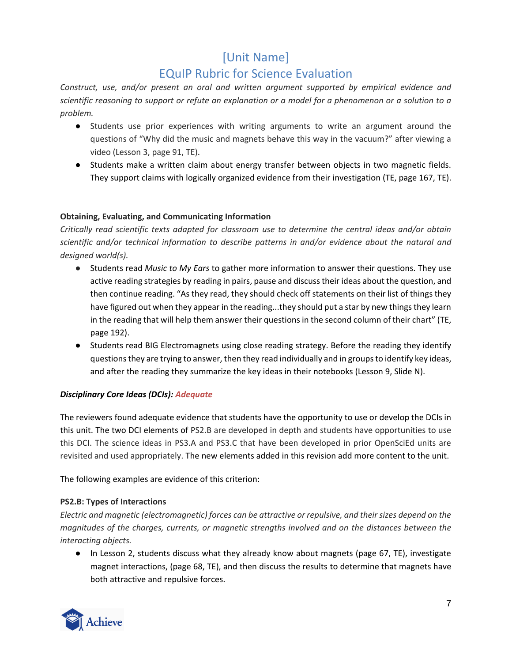## EQuIP Rubric for Science Evaluation

*Construct, use, and/or present an oral and written argument supported by empirical evidence and scientific reasoning to support or refute an explanation or a model for a phenomenon or a solution to a problem.*

- Students use prior experiences with writing arguments to write an argument around the questions of "Why did the music and magnets behave this way in the vacuum?" after viewing a video (Lesson 3, page 91, TE).
- Students make a written claim about energy transfer between objects in two magnetic fields. They support claims with logically organized evidence from their investigation (TE, page 167, TE).

#### **Obtaining, Evaluating, and Communicating Information**

*Critically read scientific texts adapted for classroom use to determine the central ideas and/or obtain scientific and/or technical information to describe patterns in and/or evidence about the natural and designed world(s).*

- Students read *Music to My Ears* to gather more information to answer their questions. They use active reading strategies by reading in pairs, pause and discuss their ideas about the question, and then continue reading. "As they read, they should check off statements on their list of things they have figured out when they appear in the reading...they should put a star by new things they learn in the reading that will help them answer their questions in the second column of their chart" (TE, page 192).
- Students read BIG Electromagnets using close reading strategy. Before the reading they identify questions they are trying to answer, then they read individually and in groups to identify key ideas, and after the reading they summarize the key ideas in their notebooks (Lesson 9, Slide N).

### *Disciplinary Core Ideas (DCIs): Adequate*

The reviewers found adequate evidence that students have the opportunity to use or develop the DCIs in this unit. The two DCI elements of PS2.B are developed in depth and students have opportunities to use this DCI. The science ideas in PS3.A and PS3.C that have been developed in prior OpenSciEd units are revisited and used appropriately. The new elements added in this revision add more content to the unit.

The following examples are evidence of this criterion:

#### **PS2.B: Types of Interactions**

*Electric and magnetic (electromagnetic) forces can be attractive or repulsive, and their sizes depend on the magnitudes of the charges, currents, or magnetic strengths involved and on the distances between the interacting objects.*

● In Lesson 2, students discuss what they already know about magnets (page 67, TE), investigate magnet interactions, (page 68, TE), and then discuss the results to determine that magnets have both attractive and repulsive forces.

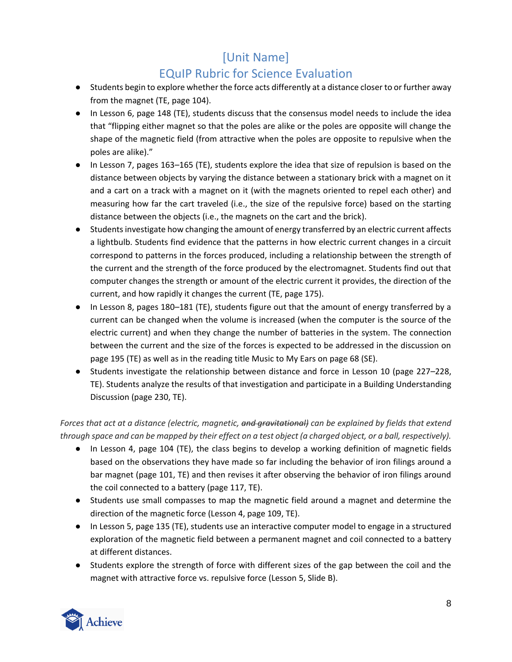- Students begin to explore whether the force acts differently at a distance closer to or further away from the magnet (TE, page 104).
- In Lesson 6, page 148 (TE), students discuss that the consensus model needs to include the idea that "flipping either magnet so that the poles are alike or the poles are opposite will change the shape of the magnetic field (from attractive when the poles are opposite to repulsive when the poles are alike)."
- In Lesson 7, pages 163*–*165 (TE), students explore the idea that size of repulsion is based on the distance between objects by varying the distance between a stationary brick with a magnet on it and a cart on a track with a magnet on it (with the magnets oriented to repel each other) and measuring how far the cart traveled (i.e., the size of the repulsive force) based on the starting distance between the objects (i.e., the magnets on the cart and the brick).
- Students investigate how changing the amount of energy transferred by an electric current affects a lightbulb. Students find evidence that the patterns in how electric current changes in a circuit correspond to patterns in the forces produced, including a relationship between the strength of the current and the strength of the force produced by the electromagnet. Students find out that computer changes the strength or amount of the electric current it provides, the direction of the current, and how rapidly it changes the current (TE, page 175).
- In Lesson 8, pages 180*–*181 (TE), students figure out that the amount of energy transferred by a current can be changed when the volume is increased (when the computer is the source of the electric current) and when they change the number of batteries in the system. The connection between the current and the size of the forces is expected to be addressed in the discussion on page 195 (TE) as well as in the reading title Music to My Ears on page 68 (SE).
- Students investigate the relationship between distance and force in Lesson 10 (page 227*–*228, TE). Students analyze the results of that investigation and participate in a Building Understanding Discussion (page 230, TE).

*Forces that act at a distance (electric, magnetic, and gravitational) can be explained by fields that extend through space and can be mapped by their effect on a test object (a charged object, or a ball, respectively).*

- In Lesson 4, page 104 (TE), the class begins to develop a working definition of magnetic fields based on the observations they have made so far including the behavior of iron filings around a bar magnet (page 101, TE) and then revises it after observing the behavior of iron filings around the coil connected to a battery (page 117, TE).
- Students use small compasses to map the magnetic field around a magnet and determine the direction of the magnetic force (Lesson 4, page 109, TE).
- In Lesson 5, page 135 (TE), students use an interactive computer model to engage in a structured exploration of the magnetic field between a permanent magnet and coil connected to a battery at different distances.
- Students explore the strength of force with different sizes of the gap between the coil and the magnet with attractive force vs. repulsive force (Lesson 5, Slide B).

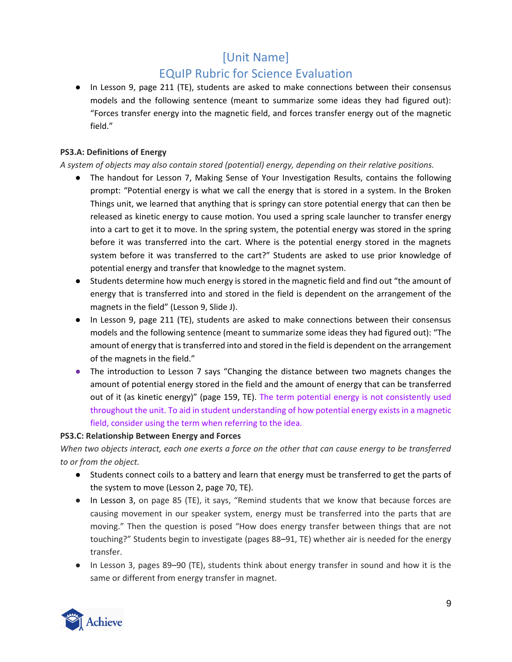● In Lesson 9, page 211 (TE), students are asked to make connections between their consensus models and the following sentence (meant to summarize some ideas they had figured out): "Forces transfer energy into the magnetic field, and forces transfer energy out of the magnetic field."

#### **PS3.A: Definitions of Energy**

*A system of objects may also contain stored (potential) energy, depending on their relative positions.*

- The handout for Lesson 7, Making Sense of Your Investigation Results, contains the following prompt: "Potential energy is what we call the energy that is stored in a system. In the Broken Things unit, we learned that anything that is springy can store potential energy that can then be released as kinetic energy to cause motion. You used a spring scale launcher to transfer energy into a cart to get it to move. In the spring system, the potential energy was stored in the spring before it was transferred into the cart. Where is the potential energy stored in the magnets system before it was transferred to the cart?" Students are asked to use prior knowledge of potential energy and transfer that knowledge to the magnet system.
- Students determine how much energy is stored in the magnetic field and find out "the amount of energy that is transferred into and stored in the field is dependent on the arrangement of the magnets in the field" (Lesson 9, Slide J).
- In Lesson 9, page 211 (TE), students are asked to make connections between their consensus models and the following sentence (meant to summarize some ideas they had figured out): "The amount of energy that is transferred into and stored in the field is dependent on the arrangement of the magnets in the field."
- The introduction to Lesson 7 says "Changing the distance between two magnets changes the amount of potential energy stored in the field and the amount of energy that can be transferred out of it (as kinetic energy)" (page 159, TE). The term potential energy is not consistently used throughout the unit. To aid in student understanding of how potential energy exists in a magnetic field, consider using the term when referring to the idea.

#### **PS3.C: Relationship Between Energy and Forces**

*When two objects interact, each one exerts a force on the other that can cause energy to be transferred to or from the object.*

- Students connect coils to a battery and learn that energy must be transferred to get the parts of the system to move (Lesson 2, page 70, TE).
- In Lesson 3, on page 85 (TE), it says, "Remind students that we know that because forces are causing movement in our speaker system, energy must be transferred into the parts that are moving." Then the question is posed "How does energy transfer between things that are not touching?" Students begin to investigate (pages 88*–*91, TE) whether air is needed for the energy transfer.
- In Lesson 3, pages 89*–*90 (TE), students think about energy transfer in sound and how it is the same or different from energy transfer in magnet.

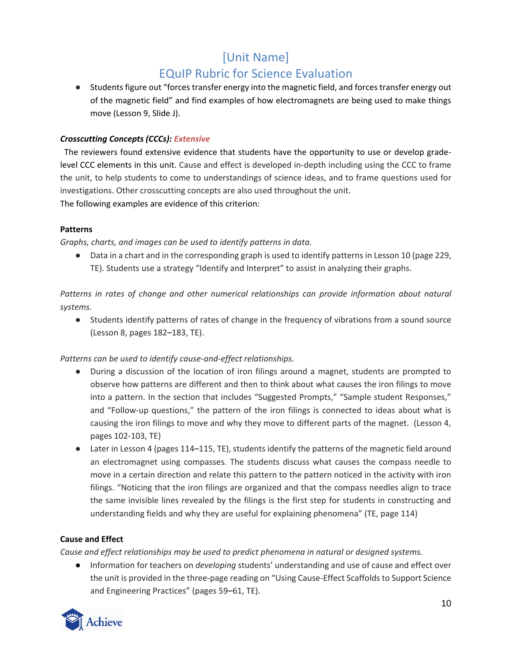● Students figure out "forces transfer energy into the magnetic field, and forces transfer energy out of the magnetic field" and find examples of how electromagnets are being used to make things move (Lesson 9, Slide J).

#### *Crosscutting Concepts (CCCs): Extensive*

The reviewers found extensive evidence that students have the opportunity to use or develop gradelevel CCC elements in this unit. Cause and effect is developed in-depth including using the CCC to frame the unit, to help students to come to understandings of science ideas, and to frame questions used for investigations. Other crosscutting concepts are also used throughout the unit. The following examples are evidence of this criterion:

#### **Patterns**

*Graphs, charts, and images can be used to identify patterns in data.*

● Data in a chart and in the corresponding graph is used to identify patterns in Lesson 10 (page 229, TE). Students use a strategy "Identify and Interpret" to assist in analyzing their graphs.

*Patterns in rates of change and other numerical relationships can provide information about natural systems.*

● Students identify patterns of rates of change in the frequency of vibrations from a sound source (Lesson 8, pages 182*–*183, TE).

#### *Patterns can be used to identify cause-and-effect relationships.*

- During a discussion of the location of iron filings around a magnet, students are prompted to observe how patterns are different and then to think about what causes the iron filings to move into a pattern. In the section that includes "Suggested Prompts," "Sample student Responses," and "Follow-up questions," the pattern of the iron filings is connected to ideas about what is causing the iron filings to move and why they move to different parts of the magnet. (Lesson 4, pages 102-103, TE)
- Later in Lesson 4 (pages 114*–*115, TE), students identify the patterns of the magnetic field around an electromagnet using compasses. The students discuss what causes the compass needle to move in a certain direction and relate this pattern to the pattern noticed in the activity with iron filings. "Noticing that the iron filings are organized and that the compass needles align to trace the same invisible lines revealed by the filings is the first step for students in constructing and understanding fields and why they are useful for explaining phenomena" (TE, page 114)

#### **Cause and Effect**

*Cause and effect relationships may be used to predict phenomena in natural or designed systems.*

● Information for teachers on *developing* students' understanding and use of cause and effect over the unit is provided in the three-page reading on "Using Cause-Effect Scaffolds to Support Science and Engineering Practices" (pages 59*–*61, TE).

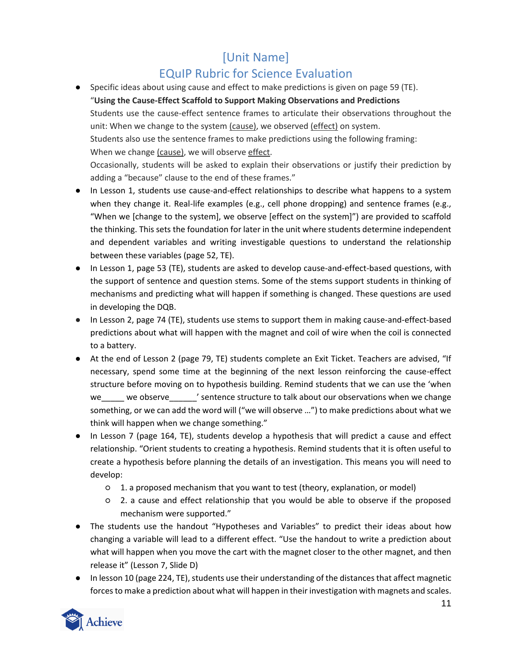- Specific ideas about using cause and effect to make predictions is given on page 59 (TE). "**Using the Cause-Effect Scaffold to Support Making Observations and Predictions** Students use the cause-effect sentence frames to articulate their observations throughout the unit: When we change to the system (cause), we observed (effect) on system. Students also use the sentence frames to make predictions using the following framing: When we change (cause), we will observe effect. Occasionally, students will be asked to explain their observations or justify their prediction by adding a "because" clause to the end of these frames."
- In Lesson 1, students use cause-and-effect relationships to describe what happens to a system when they change it. Real-life examples (e.g., cell phone dropping) and sentence frames (e.g., "When we [change to the system], we observe [effect on the system]") are provided to scaffold the thinking. This sets the foundation for later in the unit where students determine independent and dependent variables and writing investigable questions to understand the relationship between these variables (page 52, TE).
- In Lesson 1, page 53 (TE), students are asked to develop cause-and-effect-based questions, with the support of sentence and question stems. Some of the stems support students in thinking of mechanisms and predicting what will happen if something is changed. These questions are used in developing the DQB.
- In Lesson 2, page 74 (TE), students use stems to support them in making cause-and-effect-based predictions about what will happen with the magnet and coil of wire when the coil is connected to a battery.
- At the end of Lesson 2 (page 79, TE) students complete an Exit Ticket. Teachers are advised, "If necessary, spend some time at the beginning of the next lesson reinforcing the cause-effect structure before moving on to hypothesis building. Remind students that we can use the 'when we we observe vertence structure to talk about our observations when we change something, or we can add the word will ("we will observe …") to make predictions about what we think will happen when we change something."
- In Lesson 7 (page 164, TE), students develop a hypothesis that will predict a cause and effect relationship. "Orient students to creating a hypothesis. Remind students that it is often useful to create a hypothesis before planning the details of an investigation. This means you will need to develop:
	- 1. a proposed mechanism that you want to test (theory, explanation, or model)
	- 2. a cause and effect relationship that you would be able to observe if the proposed mechanism were supported."
- The students use the handout "Hypotheses and Variables" to predict their ideas about how changing a variable will lead to a different effect. "Use the handout to write a prediction about what will happen when you move the cart with the magnet closer to the other magnet, and then release it" (Lesson 7, Slide D)
- In lesson 10 (page 224, TE), students use their understanding of the distances that affect magnetic forces to make a prediction about what will happen in their investigation with magnets and scales.

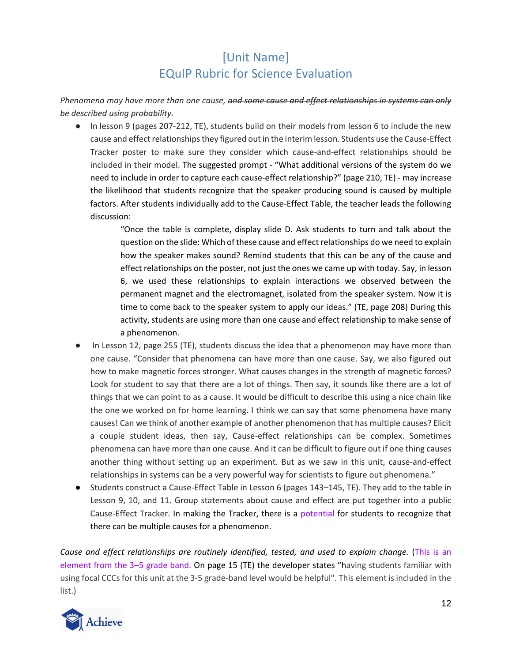*Phenomena may have more than one cause, and some cause and effect relationships in systems can only be described using probability.*

● In lesson 9 (pages 207-212, TE), students build on their models from lesson 6 to include the new cause and effect relationships they figured out in the interim lesson. Students use the Cause-Effect Tracker poster to make sure they consider which cause-and-effect relationships should be included in their model. The suggested prompt - "What additional versions of the system do we need to include in order to capture each cause-effect relationship?" (page 210, TE) - may increase the likelihood that students recognize that the speaker producing sound is caused by multiple factors. After students individually add to the Cause-Effect Table, the teacher leads the following discussion:

> "Once the table is complete, display slide D. Ask students to turn and talk about the question on the slide: Which of these cause and effect relationships do we need to explain how the speaker makes sound? Remind students that this can be any of the cause and effect relationships on the poster, not just the ones we came up with today. Say, in lesson 6, we used these relationships to explain interactions we observed between the permanent magnet and the electromagnet, isolated from the speaker system. Now it is time to come back to the speaker system to apply our ideas." (TE, page 208) During this activity, students are using more than one cause and effect relationship to make sense of a phenomenon.

- In Lesson 12, page 255 (TE), students discuss the idea that a phenomenon may have more than one cause. "Consider that phenomena can have more than one cause. Say, we also figured out how to make magnetic forces stronger. What causes changes in the strength of magnetic forces? Look for student to say that there are a lot of things. Then say, it sounds like there are a lot of things that we can point to as a cause. It would be difficult to describe this using a nice chain like the one we worked on for home learning. I think we can say that some phenomena have many causes! Can we think of another example of another phenomenon that has multiple causes? Elicit a couple student ideas, then say, Cause-effect relationships can be complex. Sometimes phenomena can have more than one cause. And it can be difficult to figure out if one thing causes another thing without setting up an experiment. But as we saw in this unit, cause-and-effect relationships in systems can be a very powerful way for scientists to figure out phenomena."
- Students construct a Cause-Effect Table in Lesson 6 (pages 143*–*145, TE). They add to the table in Lesson 9, 10, and 11. Group statements about cause and effect are put together into a public Cause-Effect Tracker. In making the Tracker, there is a potential for students to recognize that there can be multiple causes for a phenomenon.

*Cause and effect relationships are routinely identified, tested, and used to explain change.* (This is an element from the 3*–*5 grade band. On page 15 (TE) the developer states "having students familiar with using focal CCCs for this unit at the 3-5 grade-band level would be helpful". This element is included in the list.)

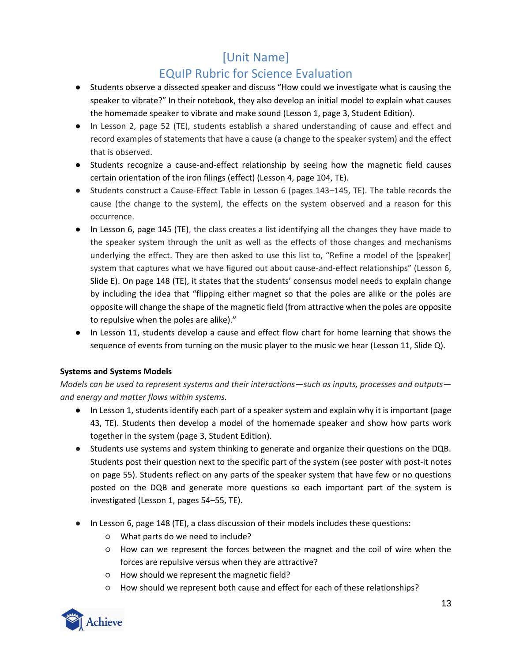## EQuIP Rubric for Science Evaluation

- Students observe a dissected speaker and discuss "How could we investigate what is causing the speaker to vibrate?" In their notebook, they also develop an initial model to explain what causes the homemade speaker to vibrate and make sound (Lesson 1, page 3, Student Edition).
- In Lesson 2, page 52 (TE), students establish a shared understanding of cause and effect and record examples of statements that have a cause (a change to the speaker system) and the effect that is observed.
- Students recognize a cause-and-effect relationship by seeing how the magnetic field causes certain orientation of the iron filings (effect) (Lesson 4, page 104, TE).
- Students construct a Cause-Effect Table in Lesson 6 (pages 143*–*145, TE). The table records the cause (the change to the system), the effects on the system observed and a reason for this occurrence.
- In Lesson 6, page 145 (TE), the class creates a list identifying all the changes they have made to the speaker system through the unit as well as the effects of those changes and mechanisms underlying the effect. They are then asked to use this list to, "Refine a model of the [speaker] system that captures what we have figured out about cause-and-effect relationships" (Lesson 6, Slide E). On page 148 (TE), it states that the students' consensus model needs to explain change by including the idea that "flipping either magnet so that the poles are alike or the poles are opposite will change the shape of the magnetic field (from attractive when the poles are opposite to repulsive when the poles are alike)."
- In Lesson 11, students develop a cause and effect flow chart for home learning that shows the sequence of events from turning on the music player to the music we hear (Lesson 11, Slide Q).

#### **Systems and Systems Models**

*Models can be used to represent systems and their interactions—such as inputs, processes and outputs and energy and matter flows within systems.*

- In Lesson 1, students identify each part of a speaker system and explain why it is important (page 43, TE). Students then develop a model of the homemade speaker and show how parts work together in the system (page 3, Student Edition).
- Students use systems and system thinking to generate and organize their questions on the DQB. Students post their question next to the specific part of the system (see poster with post-it notes on page 55). Students reflect on any parts of the speaker system that have few or no questions posted on the DQB and generate more questions so each important part of the system is investigated (Lesson 1, pages 54*–*55, TE).
- In Lesson 6, page 148 (TE), a class discussion of their models includes these questions:
	- What parts do we need to include?
	- How can we represent the forces between the magnet and the coil of wire when the forces are repulsive versus when they are attractive?
	- How should we represent the magnetic field?
	- How should we represent both cause and effect for each of these relationships?

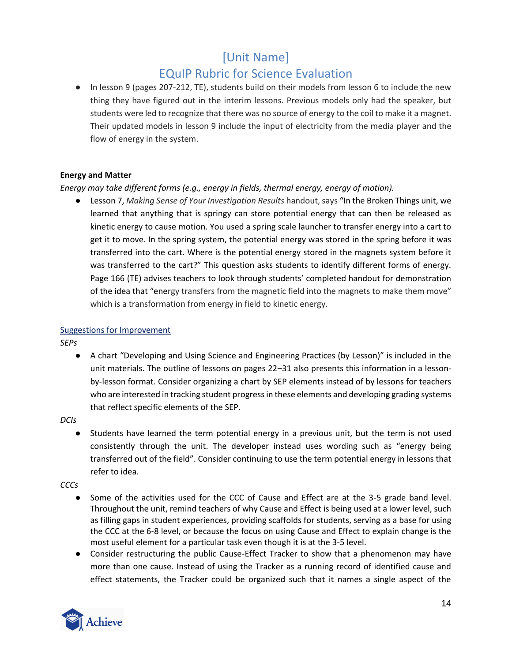● In lesson 9 (pages 207-212, TE), students build on their models from lesson 6 to include the new thing they have figured out in the interim lessons. Previous models only had the speaker, but students were led to recognize that there was no source of energy to the coil to make it a magnet. Their updated models in lesson 9 include the input of electricity from the media player and the flow of energy in the system.

#### **Energy and Matter**

#### *Energy may take different forms (e.g., energy in fields, thermal energy, energy of motion).*

● Lesson 7, *Making Sense of Your Investigation Results* handout, says "In the Broken Things unit, we learned that anything that is springy can store potential energy that can then be released as kinetic energy to cause motion. You used a spring scale launcher to transfer energy into a cart to get it to move. In the spring system, the potential energy was stored in the spring before it was transferred into the cart. Where is the potential energy stored in the magnets system before it was transferred to the cart?" This question asks students to identify different forms of energy. Page 166 (TE) advises teachers to look through students' completed handout for demonstration of the idea that "energy transfers from the magnetic field into the magnets to make them move" which is a transformation from energy in field to kinetic energy.

#### Suggestions for Improvement

*SEPs*

● A chart "Developing and Using Science and Engineering Practices (by Lesson)" is included in the unit materials. The outline of lessons on pages 22*–*31 also presents this information in a lessonby-lesson format. Consider organizing a chart by SEP elements instead of by lessons for teachers who are interested in tracking student progress in these elements and developing grading systems that reflect specific elements of the SEP.

*DCIs*

● Students have learned the term potential energy in a previous unit, but the term is not used consistently through the unit. The developer instead uses wording such as "energy being transferred out of the field". Consider continuing to use the term potential energy in lessons that refer to idea.

*CCCs*

- Some of the activities used for the CCC of Cause and Effect are at the 3-5 grade band level. Throughout the unit, remind teachers of why Cause and Effect is being used at a lower level, such as filling gaps in student experiences, providing scaffolds for students, serving as a base for using the CCC at the 6-8 level, or because the focus on using Cause and Effect to explain change is the most useful element for a particular task even though it is at the 3-5 level.
- Consider restructuring the public Cause-Effect Tracker to show that a phenomenon may have more than one cause. Instead of using the Tracker as a running record of identified cause and effect statements, the Tracker could be organized such that it names a single aspect of the

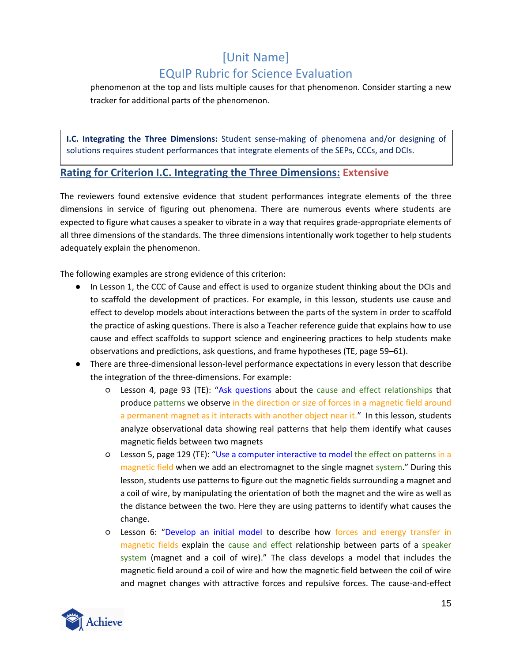phenomenon at the top and lists multiple causes for that phenomenon. Consider starting a new tracker for additional parts of the phenomenon.

**I.C. Integrating the Three Dimensions:** Student sense-making of phenomena and/or designing of solutions requires student performances that integrate elements of the SEPs, CCCs, and DCIs.

### **Rating for Criterion I.C. Integrating the Three Dimensions: Extensive**

The reviewers found extensive evidence that student performances integrate elements of the three dimensions in service of figuring out phenomena. There are numerous events where students are expected to figure what causes a speaker to vibrate in a way that requires grade-appropriate elements of all three dimensions of the standards. The three dimensions intentionally work together to help students adequately explain the phenomenon.

- In Lesson 1, the CCC of Cause and effect is used to organize student thinking about the DCIs and to scaffold the development of practices. For example, in this lesson, students use cause and effect to develop models about interactions between the parts of the system in order to scaffold the practice of asking questions. There is also a Teacher reference guide that explains how to use cause and effect scaffolds to support science and engineering practices to help students make observations and predictions, ask questions, and frame hypotheses (TE, page 59*–*61).
- There are three-dimensional lesson-level performance expectations in every lesson that describe the integration of the three-dimensions. For example:
	- Lesson 4, page 93 (TE): "Ask questions about the cause and effect relationships that produce patterns we observe in the direction or size of forces in a magnetic field around a permanent magnet as it interacts with another object near it." In this lesson, students analyze observational data showing real patterns that help them identify what causes magnetic fields between two magnets
	- Lesson 5, page 129 (TE): "Use a computer interactive to model the effect on patterns in a magnetic field when we add an electromagnet to the single magnet system." During this lesson, students use patterns to figure out the magnetic fields surrounding a magnet and a coil of wire, by manipulating the orientation of both the magnet and the wire as well as the distance between the two. Here they are using patterns to identify what causes the change.
	- Lesson 6: "Develop an initial model to describe how forces and energy transfer in magnetic fields explain the cause and effect relationship between parts of a speaker system (magnet and a coil of wire)." The class develops a model that includes the magnetic field around a coil of wire and how the magnetic field between the coil of wire and magnet changes with attractive forces and repulsive forces. The cause-and-effect

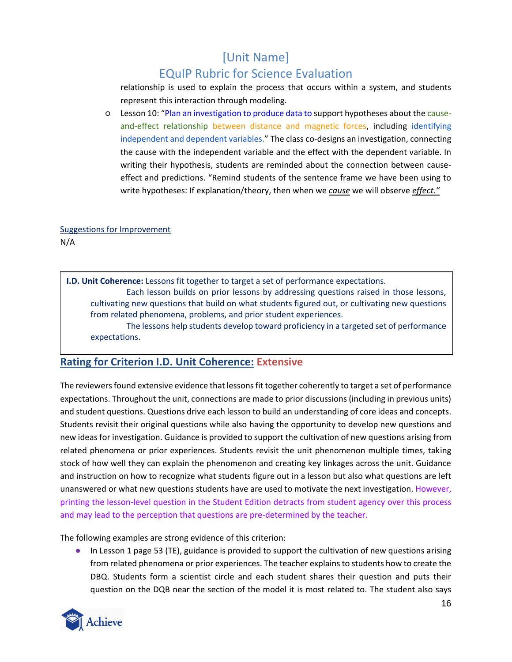## EQuIP Rubric for Science Evaluation

relationship is used to explain the process that occurs within a system, and students represent this interaction through modeling.

○ Lesson 10: "Plan an investigation to produce data to support hypotheses about the causeand-effect relationship between distance and magnetic forces, including identifying independent and dependent variables." The class co-designs an investigation, connecting the cause with the independent variable and the effect with the dependent variable. In writing their hypothesis, students are reminded about the connection between causeeffect and predictions. "Remind students of the sentence frame we have been using to write hypotheses: If explanation/theory, then when we *cause* we will observe *effect."*

Suggestions for Improvement N/A

**I.D. Unit Coherence:** Lessons fit together to target a set of performance expectations. Each lesson builds on prior lessons by addressing questions raised in those lessons, cultivating new questions that build on what students figured out, or cultivating new questions from related phenomena, problems, and prior student experiences.

The lessons help students develop toward proficiency in a targeted set of performance expectations.

### **Rating for Criterion I.D. Unit Coherence: Extensive**

The reviewers found extensive evidence that lessons fit together coherently to target a set of performance expectations. Throughout the unit, connections are made to prior discussions (including in previous units) and student questions. Questions drive each lesson to build an understanding of core ideas and concepts. Students revisit their original questions while also having the opportunity to develop new questions and new ideas for investigation. Guidance is provided to support the cultivation of new questions arising from related phenomena or prior experiences. Students revisit the unit phenomenon multiple times, taking stock of how well they can explain the phenomenon and creating key linkages across the unit. Guidance and instruction on how to recognize what students figure out in a lesson but also what questions are left unanswered or what new questions students have are used to motivate the next investigation. However, printing the lesson-level question in the Student Edition detracts from student agency over this process and may lead to the perception that questions are pre-determined by the teacher.

The following examples are strong evidence of this criterion:

● In Lesson 1 page 53 (TE), guidance is provided to support the cultivation of new questions arising from related phenomena or prior experiences. The teacher explains to students how to create the DBQ. Students form a scientist circle and each student shares their question and puts their question on the DQB near the section of the model it is most related to. The student also says

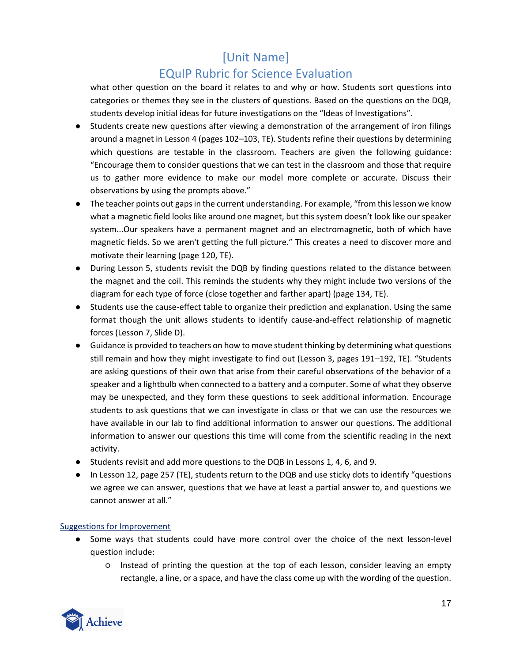## EQuIP Rubric for Science Evaluation

what other question on the board it relates to and why or how. Students sort questions into categories or themes they see in the clusters of questions. Based on the questions on the DQB, students develop initial ideas for future investigations on the "Ideas of Investigations".

- Students create new questions after viewing a demonstration of the arrangement of iron filings around a magnet in Lesson 4 (pages 102*–*103, TE). Students refine their questions by determining which questions are testable in the classroom. Teachers are given the following guidance: "Encourage them to consider questions that we can test in the classroom and those that require us to gather more evidence to make our model more complete or accurate. Discuss their observations by using the prompts above."
- The teacher points out gaps in the current understanding. For example, "from this lesson we know what a magnetic field looks like around one magnet, but this system doesn't look like our speaker system...Our speakers have a permanent magnet and an electromagnetic, both of which have magnetic fields. So we aren't getting the full picture." This creates a need to discover more and motivate their learning (page 120, TE).
- During Lesson 5, students revisit the DQB by finding questions related to the distance between the magnet and the coil. This reminds the students why they might include two versions of the diagram for each type of force (close together and farther apart) (page 134, TE).
- Students use the cause-effect table to organize their prediction and explanation. Using the same format though the unit allows students to identify cause-and-effect relationship of magnetic forces (Lesson 7, Slide D).
- Guidance is provided to teachers on how to move student thinking by determining what questions still remain and how they might investigate to find out (Lesson 3, pages 191*–*192, TE). "Students are asking questions of their own that arise from their careful observations of the behavior of a speaker and a lightbulb when connected to a battery and a computer. Some of what they observe may be unexpected, and they form these questions to seek additional information. Encourage students to ask questions that we can investigate in class or that we can use the resources we have available in our lab to find additional information to answer our questions. The additional information to answer our questions this time will come from the scientific reading in the next activity.
- Students revisit and add more questions to the DQB in Lessons 1, 4, 6, and 9.
- In Lesson 12, page 257 (TE), students return to the DQB and use sticky dots to identify "questions we agree we can answer, questions that we have at least a partial answer to, and questions we cannot answer at all."

#### Suggestions for Improvement

- Some ways that students could have more control over the choice of the next lesson-level question include:
	- Instead of printing the question at the top of each lesson, consider leaving an empty rectangle, a line, or a space, and have the class come up with the wording of the question.

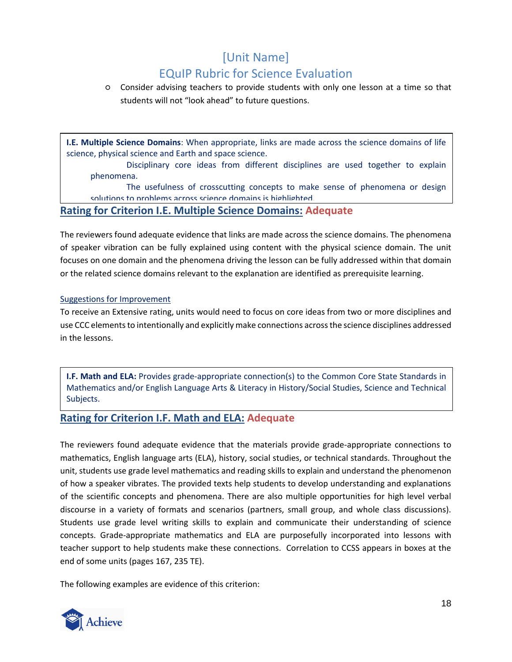○ Consider advising teachers to provide students with only one lesson at a time so that students will not "look ahead" to future questions.

**I.E. Multiple Science Domains**: When appropriate, links are made across the science domains of life science, physical science and Earth and space science.

Disciplinary core ideas from different disciplines are used together to explain phenomena.

The usefulness of crosscutting concepts to make sense of phenomena or design solutions to problems across science domains is highlighted.

### **Rating for Criterion I.E. Multiple Science Domains: Adequate**

The reviewers found adequate evidence that links are made across the science domains. The phenomena of speaker vibration can be fully explained using content with the physical science domain. The unit focuses on one domain and the phenomena driving the lesson can be fully addressed within that domain or the related science domains relevant to the explanation are identified as prerequisite learning.

#### Suggestions for Improvement

To receive an Extensive rating, units would need to focus on core ideas from two or more disciplines and use CCC elements to intentionally and explicitly make connections across the science disciplines addressed in the lessons.

**I.F. Math and ELA:** Provides grade-appropriate connection(s) to the Common Core State Standards in Mathematics and/or English Language Arts & Literacy in History/Social Studies, Science and Technical Subjects.

### **Rating for Criterion I.F. Math and ELA: Adequate**

The reviewers found adequate evidence that the materials provide grade-appropriate connections to mathematics, English language arts (ELA), history, social studies, or technical standards. Throughout the unit, students use grade level mathematics and reading skills to explain and understand the phenomenon of how a speaker vibrates. The provided texts help students to develop understanding and explanations of the scientific concepts and phenomena. There are also multiple opportunities for high level verbal discourse in a variety of formats and scenarios (partners, small group, and whole class discussions). Students use grade level writing skills to explain and communicate their understanding of science concepts. Grade-appropriate mathematics and ELA are purposefully incorporated into lessons with teacher support to help students make these connections. Correlation to CCSS appears in boxes at the end of some units (pages 167, 235 TE).

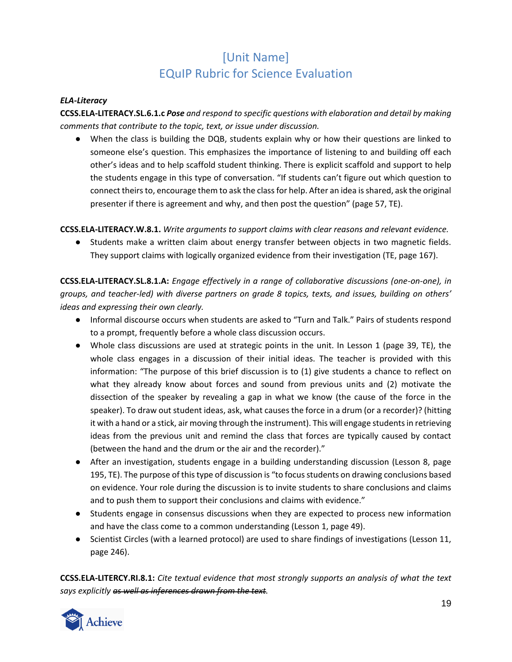#### *ELA-Literacy*

**CCSS.ELA-LITERACY.SL.6.1.c** *Pose and respond to specific questions with elaboration and detail by making comments that contribute to the topic, text, or issue under discussion.* 

● When the class is building the DQB, students explain why or how their questions are linked to someone else's question. This emphasizes the importance of listening to and building off each other's ideas and to help scaffold student thinking. There is explicit scaffold and support to help the students engage in this type of conversation. "If students can't figure out which question to connect theirs to, encourage them to ask the class for help. After an idea is shared, ask the original presenter if there is agreement and why, and then post the question" (page 57, TE).

**CCSS.ELA-LITERACY.W.8.1.** *Write arguments to support claims with clear reasons and relevant evidence.* 

● Students make a written claim about energy transfer between objects in two magnetic fields. They support claims with logically organized evidence from their investigation (TE, page 167).

**CCSS.ELA-LITERACY.SL.8.1.A:** *Engage effectively in a range of collaborative discussions (one-on-one), in groups, and teacher-led) with diverse partners on grade 8 topics, texts, and issues, building on others' ideas and expressing their own clearly.*

- Informal discourse occurs when students are asked to "Turn and Talk." Pairs of students respond to a prompt, frequently before a whole class discussion occurs.
- Whole class discussions are used at strategic points in the unit. In Lesson 1 (page 39, TE), the whole class engages in a discussion of their initial ideas. The teacher is provided with this information: "The purpose of this brief discussion is to (1) give students a chance to reflect on what they already know about forces and sound from previous units and (2) motivate the dissection of the speaker by revealing a gap in what we know (the cause of the force in the speaker). To draw out student ideas, ask, what causes the force in a drum (or a recorder)? (hitting it with a hand or a stick, air moving through the instrument). This will engage students in retrieving ideas from the previous unit and remind the class that forces are typically caused by contact (between the hand and the drum or the air and the recorder)."
- After an investigation, students engage in a building understanding discussion (Lesson 8, page 195, TE). The purpose of this type of discussion is "to focus students on drawing conclusions based on evidence. Your role during the discussion is to invite students to share conclusions and claims and to push them to support their conclusions and claims with evidence."
- Students engage in consensus discussions when they are expected to process new information and have the class come to a common understanding (Lesson 1, page 49).
- Scientist Circles (with a learned protocol) are used to share findings of investigations (Lesson 11, page 246).

**CCSS.ELA-LITERCY.RI.8.1:** *Cite textual evidence that most strongly supports an analysis of what the text says explicitly as well as inferences drawn from the text.*

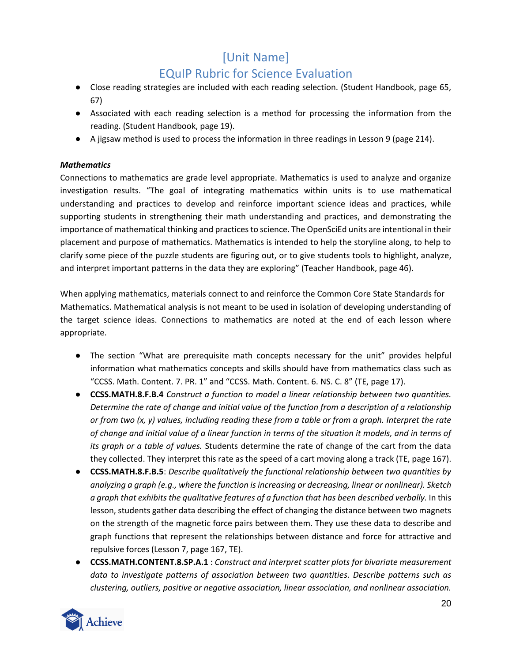- Close reading strategies are included with each reading selection. (Student Handbook, page 65, 67)
- Associated with each reading selection is a method for processing the information from the reading. (Student Handbook, page 19).
- A jigsaw method is used to process the information in three readings in Lesson 9 (page 214).

#### *Mathematics*

Connections to mathematics are grade level appropriate. Mathematics is used to analyze and organize investigation results. "The goal of integrating mathematics within units is to use mathematical understanding and practices to develop and reinforce important science ideas and practices, while supporting students in strengthening their math understanding and practices, and demonstrating the importance of mathematical thinking and practices to science. The OpenSciEd units are intentional in their placement and purpose of mathematics. Mathematics is intended to help the storyline along, to help to clarify some piece of the puzzle students are figuring out, or to give students tools to highlight, analyze, and interpret important patterns in the data they are exploring" (Teacher Handbook, page 46).

When applying mathematics, materials connect to and reinforce the Common Core State Standards for Mathematics. Mathematical analysis is not meant to be used in isolation of developing understanding of the target science ideas. Connections to mathematics are noted at the end of each lesson where appropriate.

- The section "What are prerequisite math concepts necessary for the unit" provides helpful information what mathematics concepts and skills should have from mathematics class such as "CCSS. Math. Content. 7. PR. 1" and "CCSS. Math. Content. 6. NS. C. 8" (TE, page 17).
- **CCSS.MATH.8.F.B.4** *Construct a function to model a linear relationship between two quantities. Determine the rate of change and initial value of the function from a description of a relationship or from two (x, y) values, including reading these from a table or from a graph. Interpret the rate of change and initial value of a linear function in terms of the situation it models, and in terms of its graph or a table of values.* Students determine the rate of change of the cart from the data they collected. They interpret this rate as the speed of a cart moving along a track (TE, page 167).
- **CCSS.MATH.8.F.B.5**: *Describe qualitatively the functional relationship between two quantities by analyzing a graph (e.g., where the function is increasing or decreasing, linear or nonlinear). Sketch a graph that exhibits the qualitative features of a function that has been described verbally.* In this lesson, students gather data describing the effect of changing the distance between two magnets on the strength of the magnetic force pairs between them. They use these data to describe and graph functions that represent the relationships between distance and force for attractive and repulsive forces (Lesson 7, page 167, TE).
- **CCSS.MATH.CONTENT.8.SP.A.1** : *Construct and interpret scatter plots for bivariate measurement data to investigate patterns of association between two quantities. Describe patterns such as clustering, outliers, positive or negative association, linear association, and nonlinear association.*

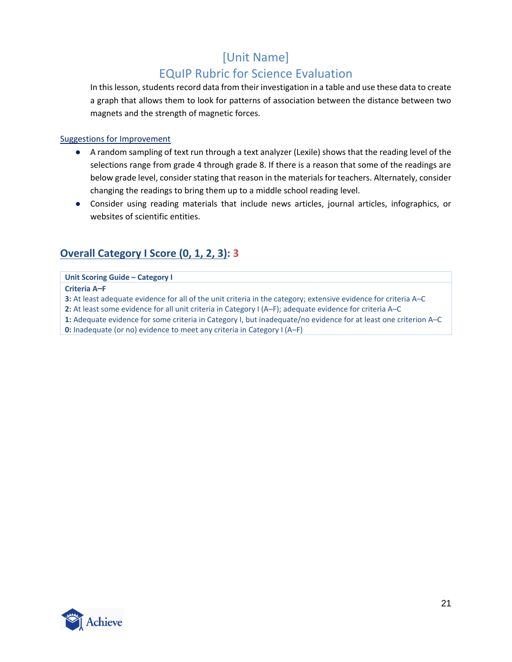## EQuIP Rubric for Science Evaluation

In this lesson, students record data from their investigation in a table and use these data to create a graph that allows them to look for patterns of association between the distance between two magnets and the strength of magnetic forces.

#### Suggestions for Improvement

- A random sampling of text run through a text analyzer (Lexile) shows that the reading level of the selections range from grade 4 through grade 8. If there is a reason that some of the readings are below grade level, consider stating that reason in the materials for teachers. Alternately, consider changing the readings to bring them up to a middle school reading level.
- Consider using reading materials that include news articles, journal articles, infographics, or websites of scientific entities.

### **Overall Category I Score (0, 1, 2, 3): 3**

#### **Unit Scoring Guide – Category I**

**Criteria A***–***F**

**3:** At least adequate evidence for all of the unit criteria in the category; extensive evidence for criteria A–C

**2:** At least some evidence for all unit criteria in Category I (A–F); adequate evidence for criteria A–C

**1:** Adequate evidence for some criteria in Category I, but inadequate/no evidence for at least one criterion A–C

<span id="page-20-0"></span>**0:** Inadequate (or no) evidence to meet any criteria in Category I (A–F)

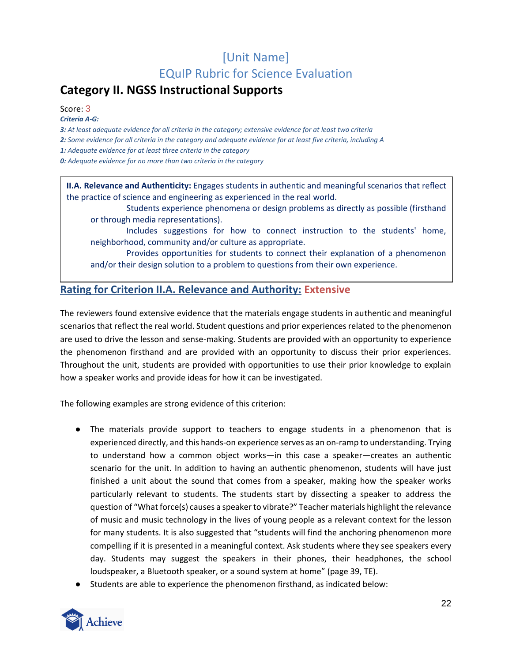## **Category II. NGSS Instructional Supports**

Score: 3

*Criteria A‐G:*

*3: At least adequate evidence for all criteria in the category; extensive evidence for at least two criteria*

*2: Some evidence for all criteria in the category and adequate evidence for at least five criteria, including A*

*1: Adequate evidence for at least three criteria in the category*

*0: Adequate evidence for no more than two criteria in the category*

**II.A. Relevance and Authenticity:** Engages students in authentic and meaningful scenarios that reflect the practice of science and engineering as experienced in the real world.

Students experience phenomena or design problems as directly as possible (firsthand or through media representations).

Includes suggestions for how to connect instruction to the students' home, neighborhood, community and/or culture as appropriate.

Provides opportunities for students to connect their explanation of a phenomenon and/or their design solution to a problem to questions from their own experience.

### **Rating for Criterion II.A. Relevance and Authority: Extensive**

The reviewers found extensive evidence that the materials engage students in authentic and meaningful scenarios that reflect the real world. Student questions and prior experiences related to the phenomenon are used to drive the lesson and sense-making. Students are provided with an opportunity to experience the phenomenon firsthand and are provided with an opportunity to discuss their prior experiences. Throughout the unit, students are provided with opportunities to use their prior knowledge to explain how a speaker works and provide ideas for how it can be investigated.

- The materials provide support to teachers to engage students in a phenomenon that is experienced directly, and this hands-on experience serves as an on-ramp to understanding. Trying to understand how a common object works—in this case a speaker—creates an authentic scenario for the unit. In addition to having an authentic phenomenon, students will have just finished a unit about the sound that comes from a speaker, making how the speaker works particularly relevant to students. The students start by dissecting a speaker to address the question of "What force(s) causes a speaker to vibrate?" Teacher materials highlight the relevance of music and music technology in the lives of young people as a relevant context for the lesson for many students. It is also suggested that "students will find the anchoring phenomenon more compelling if it is presented in a meaningful context. Ask students where they see speakers every day. Students may suggest the speakers in their phones, their headphones, the school loudspeaker, a Bluetooth speaker, or a sound system at home" (page 39, TE).
- Students are able to experience the phenomenon firsthand, as indicated below:

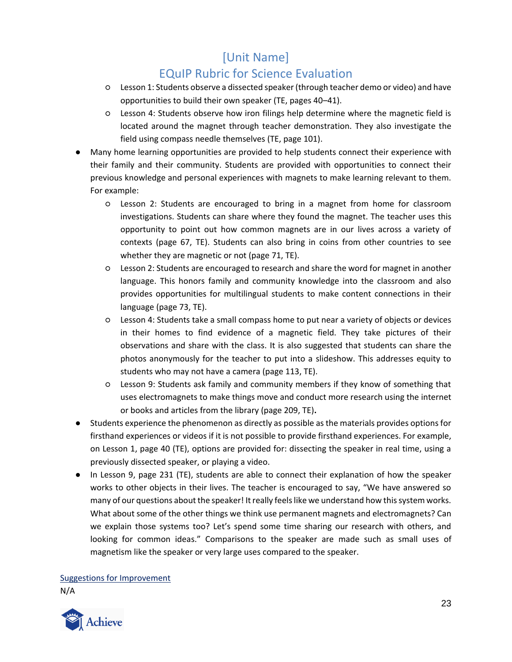## EQuIP Rubric for Science Evaluation

- Lesson 1: Students observe a dissected speaker (through teacher demo or video) and have opportunities to build their own speaker (TE, pages 40*–*41).
- Lesson 4: Students observe how iron filings help determine where the magnetic field is located around the magnet through teacher demonstration. They also investigate the field using compass needle themselves (TE, page 101).
- Many home learning opportunities are provided to help students connect their experience with their family and their community. Students are provided with opportunities to connect their previous knowledge and personal experiences with magnets to make learning relevant to them. For example:
	- Lesson 2: Students are encouraged to bring in a magnet from home for classroom investigations. Students can share where they found the magnet. The teacher uses this opportunity to point out how common magnets are in our lives across a variety of contexts (page 67, TE). Students can also bring in coins from other countries to see whether they are magnetic or not (page 71, TE).
	- Lesson 2: Students are encouraged to research and share the word for magnet in another language. This honors family and community knowledge into the classroom and also provides opportunities for multilingual students to make content connections in their language (page 73, TE).
	- Lesson 4: Students take a small compass home to put near a variety of objects or devices in their homes to find evidence of a magnetic field. They take pictures of their observations and share with the class. It is also suggested that students can share the photos anonymously for the teacher to put into a slideshow. This addresses equity to students who may not have a camera (page 113, TE).
	- Lesson 9: Students ask family and community members if they know of something that uses electromagnets to make things move and conduct more research using the internet or books and articles from the library (page 209, TE)**.**
- Students experience the phenomenon as directly as possible as the materials provides options for firsthand experiences or videos if it is not possible to provide firsthand experiences. For example, on Lesson 1, page 40 (TE), options are provided for: dissecting the speaker in real time, using a previously dissected speaker, or playing a video.
- In Lesson 9, page 231 (TE), students are able to connect their explanation of how the speaker works to other objects in their lives. The teacher is encouraged to say, "We have answered so many of our questions about the speaker! It really feels like we understand how this system works. What about some of the other things we think use permanent magnets and electromagnets? Can we explain those systems too? Let's spend some time sharing our research with others, and looking for common ideas." Comparisons to the speaker are made such as small uses of magnetism like the speaker or very large uses compared to the speaker.

Suggestions for Improvement N/A

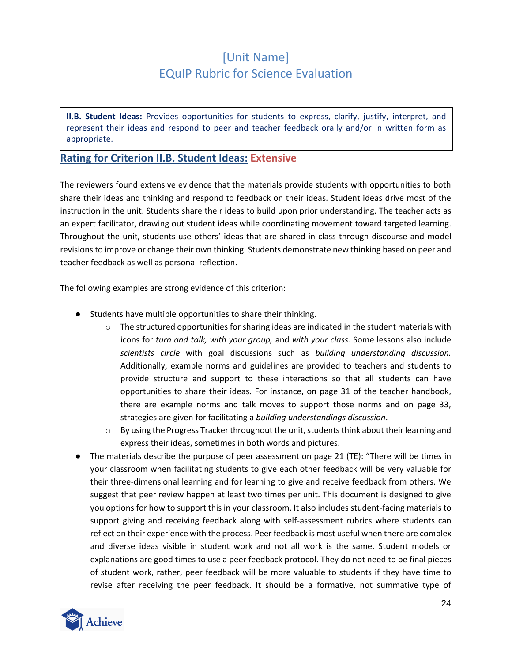**II.B. Student Ideas:** Provides opportunities for students to express, clarify, justify, interpret, and represent their ideas and respond to peer and teacher feedback orally and/or in written form as appropriate.

### **Rating for Criterion II.B. Student Ideas: Extensive**

The reviewers found extensive evidence that the materials provide students with opportunities to both share their ideas and thinking and respond to feedback on their ideas. Student ideas drive most of the instruction in the unit. Students share their ideas to build upon prior understanding. The teacher acts as an expert facilitator, drawing out student ideas while coordinating movement toward targeted learning. Throughout the unit, students use others' ideas that are shared in class through discourse and model revisions to improve or change their own thinking. Students demonstrate new thinking based on peer and teacher feedback as well as personal reflection.

- Students have multiple opportunities to share their thinking.
	- $\circ$  The structured opportunities for sharing ideas are indicated in the student materials with icons for *turn and talk, with your group,* and *with your class.* Some lessons also include *scientists circle* with goal discussions such as *building understanding discussion.*  Additionally, example norms and guidelines are provided to teachers and students to provide structure and support to these interactions so that all students can have opportunities to share their ideas. For instance, on page 31 of the teacher handbook, there are example norms and talk moves to support those norms and on page 33, strategies are given for facilitating a *building understandings discussion*.
	- $\circ$  By using the Progress Tracker throughout the unit, students think about their learning and express their ideas, sometimes in both words and pictures.
- The materials describe the purpose of peer assessment on page 21 (TE): "There will be times in your classroom when facilitating students to give each other feedback will be very valuable for their three-dimensional learning and for learning to give and receive feedback from others. We suggest that peer review happen at least two times per unit. This document is designed to give you options for how to support this in your classroom. It also includes student-facing materials to support giving and receiving feedback along with self-assessment rubrics where students can reflect on their experience with the process. Peer feedback is most useful when there are complex and diverse ideas visible in student work and not all work is the same. Student models or explanations are good times to use a peer feedback protocol. They do not need to be final pieces of student work, rather, peer feedback will be more valuable to students if they have time to revise after receiving the peer feedback. It should be a formative, not summative type of

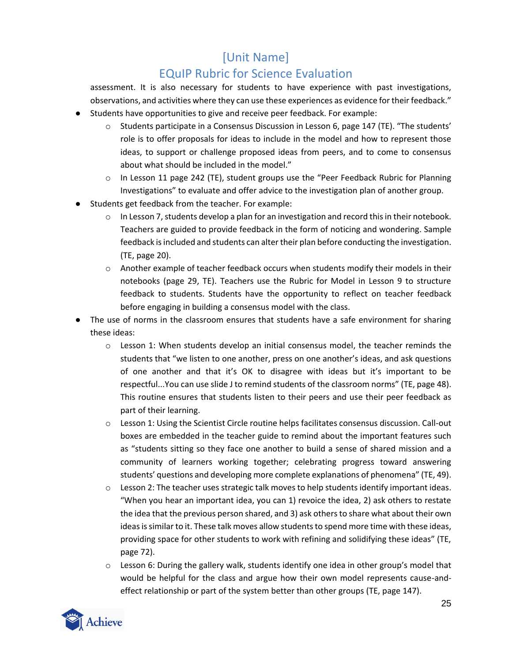## EQuIP Rubric for Science Evaluation

assessment. It is also necessary for students to have experience with past investigations, observations, and activities where they can use these experiences as evidence for their feedback."

- Students have opportunities to give and receive peer feedback. For example:
	- o Students participate in a Consensus Discussion in Lesson 6, page 147 (TE). "The students' role is to offer proposals for ideas to include in the model and how to represent those ideas, to support or challenge proposed ideas from peers, and to come to consensus about what should be included in the model."
	- $\circ$  In Lesson 11 page 242 (TE), student groups use the "Peer Feedback Rubric for Planning Investigations" to evaluate and offer advice to the investigation plan of another group.
- Students get feedback from the teacher. For example:
	- $\circ$  In Lesson 7, students develop a plan for an investigation and record this in their notebook. Teachers are guided to provide feedback in the form of noticing and wondering. Sample feedback is included and students can alter their plan before conducting the investigation. (TE, page 20).
	- $\circ$  Another example of teacher feedback occurs when students modify their models in their notebooks (page 29, TE). Teachers use the Rubric for Model in Lesson 9 to structure feedback to students. Students have the opportunity to reflect on teacher feedback before engaging in building a consensus model with the class.
- The use of norms in the classroom ensures that students have a safe environment for sharing these ideas:
	- $\circ$  Lesson 1: When students develop an initial consensus model, the teacher reminds the students that "we listen to one another, press on one another's ideas, and ask questions of one another and that it's OK to disagree with ideas but it's important to be respectful...You can use slide J to remind students of the classroom norms" (TE, page 48). This routine ensures that students listen to their peers and use their peer feedback as part of their learning.
	- o Lesson 1: Using the Scientist Circle routine helps facilitates consensus discussion. Call-out boxes are embedded in the teacher guide to remind about the important features such as "students sitting so they face one another to build a sense of shared mission and a community of learners working together; celebrating progress toward answering students' questions and developing more complete explanations of phenomena" (TE, 49).
	- $\circ$  Lesson 2: The teacher uses strategic talk moves to help students identify important ideas. "When you hear an important idea, you can 1) revoice the idea, 2) ask others to restate the idea that the previous person shared, and 3) ask others to share what about their own ideas is similar to it. These talk moves allow students to spend more time with these ideas, providing space for other students to work with refining and solidifying these ideas" (TE, page 72).
	- $\circ$  Lesson 6: During the gallery walk, students identify one idea in other group's model that would be helpful for the class and argue how their own model represents cause-andeffect relationship or part of the system better than other groups (TE, page 147).

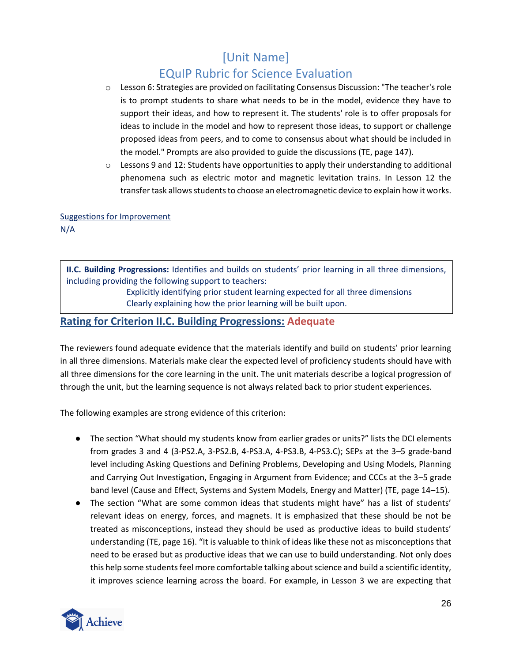- o Lesson 6: Strategies are provided on facilitating Consensus Discussion: "The teacher's role is to prompt students to share what needs to be in the model, evidence they have to support their ideas, and how to represent it. The students' role is to offer proposals for ideas to include in the model and how to represent those ideas, to support or challenge proposed ideas from peers, and to come to consensus about what should be included in the model." Prompts are also provided to guide the discussions (TE, page 147).
- $\circ$  Lessons 9 and 12: Students have opportunities to apply their understanding to additional phenomena such as electric motor and magnetic levitation trains. In Lesson 12 the transfer task allows students to choose an electromagnetic device to explain how it works.

## Suggestions for Improvement

N/A

**II.C. Building Progressions:** Identifies and builds on students' prior learning in all three dimensions, including providing the following support to teachers:

Explicitly identifying prior student learning expected for all three dimensions Clearly explaining how the prior learning will be built upon.

### **Rating for Criterion II.C. Building Progressions: Adequate**

The reviewers found adequate evidence that the materials identify and build on students' prior learning in all three dimensions. Materials make clear the expected level of proficiency students should have with all three dimensions for the core learning in the unit. The unit materials describe a logical progression of through the unit, but the learning sequence is not always related back to prior student experiences.

- The section "What should my students know from earlier grades or units?" lists the DCI elements from grades 3 and 4 (3-PS2.A, 3-PS2.B, 4-PS3.A, 4-PS3.B, 4-PS3.C); SEPs at the 3*–*5 grade-band level including Asking Questions and Defining Problems, Developing and Using Models, Planning and Carrying Out Investigation, Engaging in Argument from Evidence; and CCCs at the 3*–*5 grade band level (Cause and Effect, Systems and System Models, Energy and Matter) (TE, page 14*–*15).
- The section "What are some common ideas that students might have" has a list of students' relevant ideas on energy, forces, and magnets. It is emphasized that these should be not be treated as misconceptions, instead they should be used as productive ideas to build students' understanding (TE, page 16). "It is valuable to think of ideas like these not as misconceptions that need to be erased but as productive ideas that we can use to build understanding. Not only does this help some students feel more comfortable talking about science and build a scientific identity, it improves science learning across the board. For example, in Lesson 3 we are expecting that

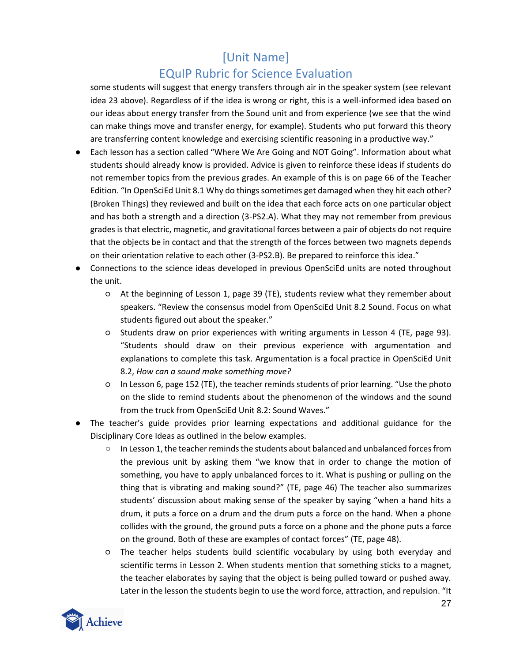## EQuIP Rubric for Science Evaluation

some students will suggest that energy transfers through air in the speaker system (see relevant idea 23 above). Regardless of if the idea is wrong or right, this is a well-informed idea based on our ideas about energy transfer from the Sound unit and from experience (we see that the wind can make things move and transfer energy, for example). Students who put forward this theory are transferring content knowledge and exercising scientific reasoning in a productive way."

- Each lesson has a section called "Where We Are Going and NOT Going". Information about what students should already know is provided. Advice is given to reinforce these ideas if students do not remember topics from the previous grades. An example of this is on page 66 of the Teacher Edition. "In OpenSciEd Unit 8.1 Why do things sometimes get damaged when they hit each other? (Broken Things) they reviewed and built on the idea that each force acts on one particular object and has both a strength and a direction (3-PS2.A). What they may not remember from previous grades is that electric, magnetic, and gravitational forces between a pair of objects do not require that the objects be in contact and that the strength of the forces between two magnets depends on their orientation relative to each other (3-PS2.B). Be prepared to reinforce this idea."
- Connections to the science ideas developed in previous OpenSciEd units are noted throughout the unit.
	- At the beginning of Lesson 1, page 39 (TE), students review what they remember about speakers. "Review the consensus model from OpenSciEd Unit 8.2 Sound. Focus on what students figured out about the speaker."
	- Students draw on prior experiences with writing arguments in Lesson 4 (TE, page 93). "Students should draw on their previous experience with argumentation and explanations to complete this task. Argumentation is a focal practice in OpenSciEd Unit 8.2, *How can a sound make something move?*
	- In Lesson 6, page 152 (TE), the teacher reminds students of prior learning. "Use the photo on the slide to remind students about the phenomenon of the windows and the sound from the truck from OpenSciEd Unit 8.2: Sound Waves."
- The teacher's guide provides prior learning expectations and additional guidance for the Disciplinary Core Ideas as outlined in the below examples.
	- In Lesson 1, the teacher reminds the students about balanced and unbalanced forces from the previous unit by asking them "we know that in order to change the motion of something, you have to apply unbalanced forces to it. What is pushing or pulling on the thing that is vibrating and making sound?" (TE, page 46) The teacher also summarizes students' discussion about making sense of the speaker by saying "when a hand hits a drum, it puts a force on a drum and the drum puts a force on the hand. When a phone collides with the ground, the ground puts a force on a phone and the phone puts a force on the ground. Both of these are examples of contact forces" (TE, page 48).
	- The teacher helps students build scientific vocabulary by using both everyday and scientific terms in Lesson 2. When students mention that something sticks to a magnet, the teacher elaborates by saying that the object is being pulled toward or pushed away. Later in the lesson the students begin to use the word force, attraction, and repulsion. "It

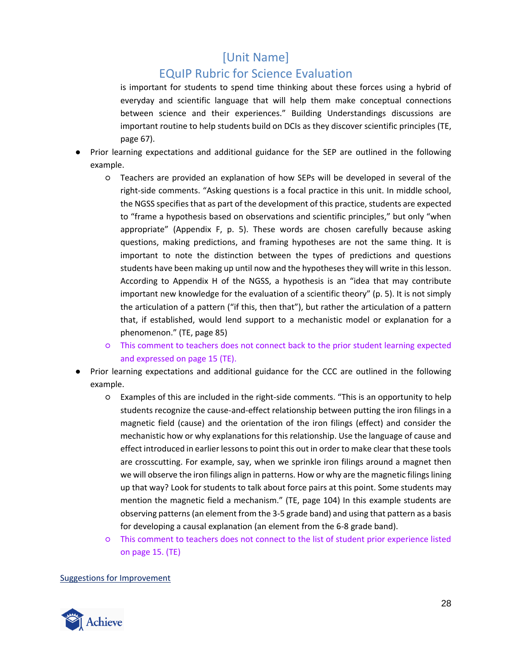## EQuIP Rubric for Science Evaluation

is important for students to spend time thinking about these forces using a hybrid of everyday and scientific language that will help them make conceptual connections between science and their experiences." Building Understandings discussions are important routine to help students build on DCIs as they discover scientific principles (TE, page 67).

- Prior learning expectations and additional guidance for the SEP are outlined in the following example.
	- Teachers are provided an explanation of how SEPs will be developed in several of the right-side comments. "Asking questions is a focal practice in this unit. In middle school, the NGSS specifies that as part of the development of this practice, students are expected to "frame a hypothesis based on observations and scientific principles," but only "when appropriate" (Appendix F, p. 5). These words are chosen carefully because asking questions, making predictions, and framing hypotheses are not the same thing. It is important to note the distinction between the types of predictions and questions students have been making up until now and the hypotheses they will write in this lesson. According to Appendix H of the NGSS, a hypothesis is an "idea that may contribute important new knowledge for the evaluation of a scientific theory" (p. 5). It is not simply the articulation of a pattern ("if this, then that"), but rather the articulation of a pattern that, if established, would lend support to a mechanistic model or explanation for a phenomenon." (TE, page 85)
	- This comment to teachers does not connect back to the prior student learning expected and expressed on page 15 (TE).
- Prior learning expectations and additional guidance for the CCC are outlined in the following example.
	- Examples of this are included in the right-side comments. "This is an opportunity to help students recognize the cause-and-effect relationship between putting the iron filings in a magnetic field (cause) and the orientation of the iron filings (effect) and consider the mechanistic how or why explanations for this relationship. Use the language of cause and effect introduced in earlier lessons to point this out in order to make clear that these tools are crosscutting. For example, say, when we sprinkle iron filings around a magnet then we will observe the iron filings align in patterns. How or why are the magnetic filings lining up that way? Look for students to talk about force pairs at this point. Some students may mention the magnetic field a mechanism." (TE, page 104) In this example students are observing patterns (an element from the 3-5 grade band) and using that pattern as a basis for developing a causal explanation (an element from the 6-8 grade band).
	- This comment to teachers does not connect to the list of student prior experience listed on page 15. (TE)

#### Suggestions for Improvement

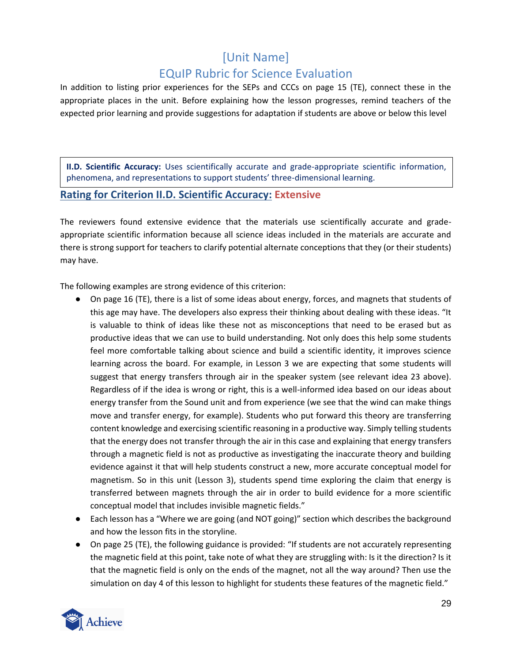In addition to listing prior experiences for the SEPs and CCCs on page 15 (TE), connect these in the appropriate places in the unit. Before explaining how the lesson progresses, remind teachers of the expected prior learning and provide suggestions for adaptation if students are above or below this level

**II.D. Scientific Accuracy:** Uses scientifically accurate and grade-appropriate scientific information, phenomena, and representations to support students' three-dimensional learning.

### **Rating for Criterion II.D. Scientific Accuracy: Extensive**

The reviewers found extensive evidence that the materials use scientifically accurate and gradeappropriate scientific information because all science ideas included in the materials are accurate and there is strong support for teachers to clarify potential alternate conceptions that they (or their students) may have.

- On page 16 (TE), there is a list of some ideas about energy, forces, and magnets that students of this age may have. The developers also express their thinking about dealing with these ideas. "It is valuable to think of ideas like these not as misconceptions that need to be erased but as productive ideas that we can use to build understanding. Not only does this help some students feel more comfortable talking about science and build a scientific identity, it improves science learning across the board. For example, in Lesson 3 we are expecting that some students will suggest that energy transfers through air in the speaker system (see relevant idea 23 above). Regardless of if the idea is wrong or right, this is a well-informed idea based on our ideas about energy transfer from the Sound unit and from experience (we see that the wind can make things move and transfer energy, for example). Students who put forward this theory are transferring content knowledge and exercising scientific reasoning in a productive way. Simply telling students that the energy does not transfer through the air in this case and explaining that energy transfers through a magnetic field is not as productive as investigating the inaccurate theory and building evidence against it that will help students construct a new, more accurate conceptual model for magnetism. So in this unit (Lesson 3), students spend time exploring the claim that energy is transferred between magnets through the air in order to build evidence for a more scientific conceptual model that includes invisible magnetic fields."
- Each lesson has a "Where we are going (and NOT going)" section which describes the background and how the lesson fits in the storyline.
- On page 25 (TE), the following guidance is provided: "If students are not accurately representing the magnetic field at this point, take note of what they are struggling with: Is it the direction? Is it that the magnetic field is only on the ends of the magnet, not all the way around? Then use the simulation on day 4 of this lesson to highlight for students these features of the magnetic field."

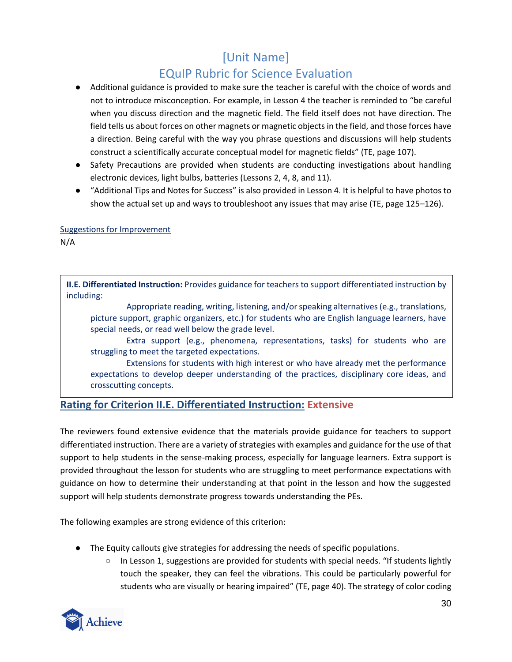## EQuIP Rubric for Science Evaluation

- Additional guidance is provided to make sure the teacher is careful with the choice of words and not to introduce misconception. For example, in Lesson 4 the teacher is reminded to "be careful when you discuss direction and the magnetic field. The field itself does not have direction. The field tells us about forces on other magnets or magnetic objects in the field, and those forces have a direction. Being careful with the way you phrase questions and discussions will help students construct a scientifically accurate conceptual model for magnetic fields" (TE, page 107).
- Safety Precautions are provided when students are conducting investigations about handling electronic devices, light bulbs, batteries (Lessons 2, 4, 8, and 11).
- "Additional Tips and Notes for Success" is also provided in Lesson 4. It is helpful to have photos to show the actual set up and ways to troubleshoot any issues that may arise (TE, page 125*–*126).

#### Suggestions for Improvement

N/A

**II.E. Differentiated Instruction:** Provides guidance for teachers to support differentiated instruction by including:

Appropriate reading, writing, listening, and/or speaking alternatives (e.g., translations, picture support, graphic organizers, etc.) for students who are English language learners, have special needs, or read well below the grade level.

Extra support (e.g., phenomena, representations, tasks) for students who are struggling to meet the targeted expectations.

Extensions for students with high interest or who have already met the performance expectations to develop deeper understanding of the practices, disciplinary core ideas, and crosscutting concepts.

### **Rating for Criterion II.E. Differentiated Instruction: Extensive**

The reviewers found extensive evidence that the materials provide guidance for teachers to support differentiated instruction. There are a variety of strategies with examples and guidance for the use of that support to help students in the sense-making process, especially for language learners. Extra support is provided throughout the lesson for students who are struggling to meet performance expectations with guidance on how to determine their understanding at that point in the lesson and how the suggested support will help students demonstrate progress towards understanding the PEs.

- The Equity callouts give strategies for addressing the needs of specific populations.
	- In Lesson 1, suggestions are provided for students with special needs. "If students lightly touch the speaker, they can feel the vibrations. This could be particularly powerful for students who are visually or hearing impaired" (TE, page 40). The strategy of color coding

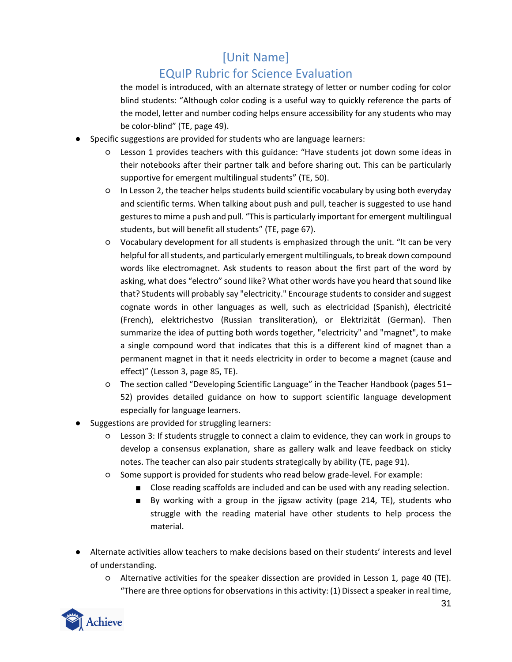## EQuIP Rubric for Science Evaluation

the model is introduced, with an alternate strategy of letter or number coding for color blind students: "Although color coding is a useful way to quickly reference the parts of the model, letter and number coding helps ensure accessibility for any students who may be color-blind" (TE, page 49).

- Specific suggestions are provided for students who are language learners:
	- Lesson 1 provides teachers with this guidance: "Have students jot down some ideas in their notebooks after their partner talk and before sharing out. This can be particularly supportive for emergent multilingual students" (TE, 50).
	- In Lesson 2, the teacher helps students build scientific vocabulary by using both everyday and scientific terms. When talking about push and pull, teacher is suggested to use hand gestures to mime a push and pull. "This is particularly important for emergent multilingual students, but will benefit all students" (TE, page 67).
	- Vocabulary development for all students is emphasized through the unit. "It can be very helpful for all students, and particularly emergent multilinguals, to break down compound words like electromagnet. Ask students to reason about the first part of the word by asking, what does "electro" sound like? What other words have you heard that sound like that? Students will probably say "electricity." Encourage students to consider and suggest cognate words in other languages as well, such as electricidad (Spanish), électricité (French), elektrichestvo (Russian transliteration), or Elektrizität (German). Then summarize the idea of putting both words together, "electricity" and "magnet", to make a single compound word that indicates that this is a different kind of magnet than a permanent magnet in that it needs electricity in order to become a magnet (cause and effect)" (Lesson 3, page 85, TE).
	- The section called "Developing Scientific Language" in the Teacher Handbook (pages 51*–* 52) provides detailed guidance on how to support scientific language development especially for language learners.
- Suggestions are provided for struggling learners:
	- Lesson 3: If students struggle to connect a claim to evidence, they can work in groups to develop a consensus explanation, share as gallery walk and leave feedback on sticky notes. The teacher can also pair students strategically by ability (TE, page 91).
	- Some support is provided for students who read below grade-level. For example:
		- Close reading scaffolds are included and can be used with any reading selection.
		- By working with a group in the jigsaw activity (page 214, TE), students who struggle with the reading material have other students to help process the material.
- Alternate activities allow teachers to make decisions based on their students' interests and level of understanding.
	- Alternative activities for the speaker dissection are provided in Lesson 1, page 40 (TE). "There are three options for observations in this activity: (1) Dissect a speaker in real time,

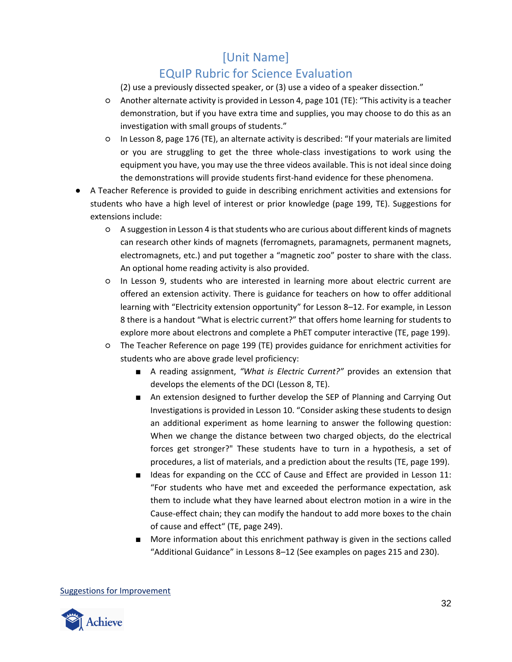## EQuIP Rubric for Science Evaluation

(2) use a previously dissected speaker, or (3) use a video of a speaker dissection."

- Another alternate activity is provided in Lesson 4, page 101 (TE): "This activity is a teacher demonstration, but if you have extra time and supplies, you may choose to do this as an investigation with small groups of students."
- In Lesson 8, page 176 (TE), an alternate activity is described: "If your materials are limited or you are struggling to get the three whole-class investigations to work using the equipment you have, you may use the three videos available. This is not ideal since doing the demonstrations will provide students first-hand evidence for these phenomena.
- A Teacher Reference is provided to guide in describing enrichment activities and extensions for students who have a high level of interest or prior knowledge (page 199, TE). Suggestions for extensions include:
	- A suggestion in Lesson 4 is that students who are curious about different kinds of magnets can research other kinds of magnets (ferromagnets, paramagnets, permanent magnets, electromagnets, etc.) and put together a "magnetic zoo" poster to share with the class. An optional home reading activity is also provided.
	- In Lesson 9, students who are interested in learning more about electric current are offered an extension activity. There is guidance for teachers on how to offer additional learning with "Electricity extension opportunity" for Lesson 8*–*12. For example, in Lesson 8 there is a handout "What is electric current?" that offers home learning for students to explore more about electrons and complete a PhET computer interactive (TE, page 199).
	- The Teacher Reference on page 199 (TE) provides guidance for enrichment activities for students who are above grade level proficiency:
		- A reading assignment, "What is Electric Current?" provides an extension that develops the elements of the DCI (Lesson 8, TE).
		- An extension designed to further develop the SEP of Planning and Carrying Out Investigations is provided in Lesson 10. "Consider asking these students to design an additional experiment as home learning to answer the following question: When we change the distance between two charged objects, do the electrical forces get stronger?" These students have to turn in a hypothesis, a set of procedures, a list of materials, and a prediction about the results (TE, page 199).
		- Ideas for expanding on the CCC of Cause and Effect are provided in Lesson 11: "For students who have met and exceeded the performance expectation, ask them to include what they have learned about electron motion in a wire in the Cause-effect chain; they can modify the handout to add more boxes to the chain of cause and effect" (TE, page 249).
		- More information about this enrichment pathway is given in the sections called "Additional Guidance" in Lessons 8*–*12 (See examples on pages 215 and 230).

Suggestions for Improvement

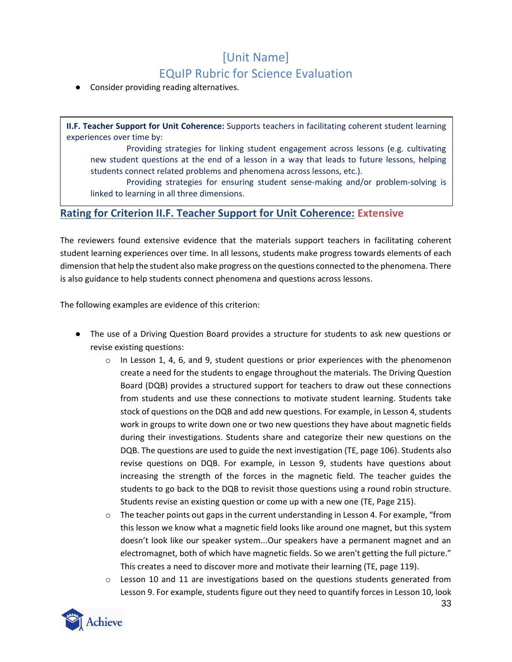● Consider providing reading alternatives.

**II.F. Teacher Support for Unit Coherence:** Supports teachers in facilitating coherent student learning experiences over time by:

Providing strategies for linking student engagement across lessons (e.g. cultivating new student questions at the end of a lesson in a way that leads to future lessons, helping students connect related problems and phenomena across lessons, etc.).

Providing strategies for ensuring student sense-making and/or problem-solving is linked to learning in all three dimensions.

### **Rating for Criterion II.F. Teacher Support for Unit Coherence: Extensive**

The reviewers found extensive evidence that the materials support teachers in facilitating coherent student learning experiences over time. In all lessons, students make progress towards elements of each dimension that help the student also make progress on the questions connected to the phenomena. There is also guidance to help students connect phenomena and questions across lessons.

- The use of a Driving Question Board provides a structure for students to ask new questions or revise existing questions:
	- $\circ$  In Lesson 1, 4, 6, and 9, student questions or prior experiences with the phenomenon create a need for the students to engage throughout the materials. The Driving Question Board (DQB) provides a structured support for teachers to draw out these connections from students and use these connections to motivate student learning. Students take stock of questions on the DQB and add new questions. For example, in Lesson 4, students work in groups to write down one or two new questions they have about magnetic fields during their investigations. Students share and categorize their new questions on the DQB. The questions are used to guide the next investigation (TE, page 106). Students also revise questions on DQB. For example, in Lesson 9, students have questions about increasing the strength of the forces in the magnetic field. The teacher guides the students to go back to the DQB to revisit those questions using a round robin structure. Students revise an existing question or come up with a new one (TE, Page 215).
	- $\circ$  The teacher points out gaps in the current understanding in Lesson 4. For example, "from this lesson we know what a magnetic field looks like around one magnet, but this system doesn't look like our speaker system...Our speakers have a permanent magnet and an electromagnet, both of which have magnetic fields. So we aren't getting the full picture." This creates a need to discover more and motivate their learning (TE, page 119).
	- Lesson 10 and 11 are investigations based on the questions students generated from Lesson 9. For example, students figure out they need to quantify forces in Lesson 10, look

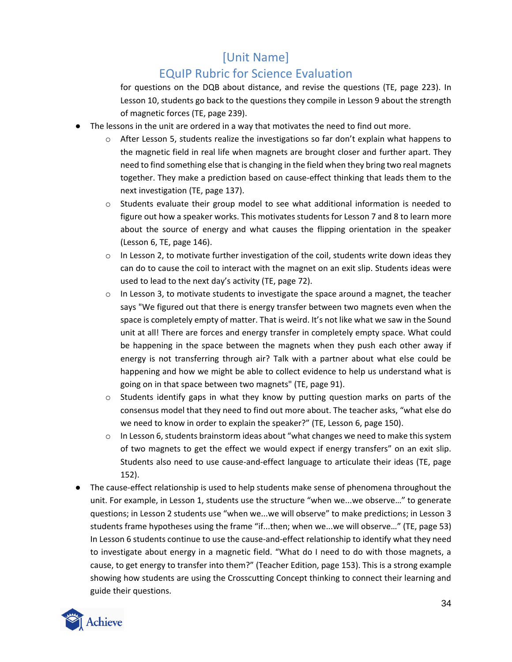## EQuIP Rubric for Science Evaluation

for questions on the DQB about distance, and revise the questions (TE, page 223). In Lesson 10, students go back to the questions they compile in Lesson 9 about the strength of magnetic forces (TE, page 239).

- The lessons in the unit are ordered in a way that motivates the need to find out more.
	- $\circ$  After Lesson 5, students realize the investigations so far don't explain what happens to the magnetic field in real life when magnets are brought closer and further apart. They need to find something else that is changing in the field when they bring two real magnets together. They make a prediction based on cause-effect thinking that leads them to the next investigation (TE, page 137).
	- $\circ$  Students evaluate their group model to see what additional information is needed to figure out how a speaker works. This motivates students for Lesson 7 and 8 to learn more about the source of energy and what causes the flipping orientation in the speaker (Lesson 6, TE, page 146).
	- $\circ$  In Lesson 2, to motivate further investigation of the coil, students write down ideas they can do to cause the coil to interact with the magnet on an exit slip. Students ideas were used to lead to the next day's activity (TE, page 72).
	- $\circ$  In Lesson 3, to motivate students to investigate the space around a magnet, the teacher says "We figured out that there is energy transfer between two magnets even when the space is completely empty of matter. That is weird. It's not like what we saw in the Sound unit at all! There are forces and energy transfer in completely empty space. What could be happening in the space between the magnets when they push each other away if energy is not transferring through air? Talk with a partner about what else could be happening and how we might be able to collect evidence to help us understand what is going on in that space between two magnets" (TE, page 91).
	- $\circ$  Students identify gaps in what they know by putting question marks on parts of the consensus model that they need to find out more about. The teacher asks, "what else do we need to know in order to explain the speaker?" (TE, Lesson 6, page 150).
	- $\circ$  In Lesson 6, students brainstorm ideas about "what changes we need to make this system of two magnets to get the effect we would expect if energy transfers" on an exit slip. Students also need to use cause-and-effect language to articulate their ideas (TE, page 152).
- The cause-effect relationship is used to help students make sense of phenomena throughout the unit. For example, in Lesson 1, students use the structure "when we...we observe…" to generate questions; in Lesson 2 students use "when we...we will observe" to make predictions; in Lesson 3 students frame hypotheses using the frame "if...then; when we...we will observe…" (TE, page 53) In Lesson 6 students continue to use the cause-and-effect relationship to identify what they need to investigate about energy in a magnetic field. "What do I need to do with those magnets, a cause, to get energy to transfer into them?" (Teacher Edition, page 153). This is a strong example showing how students are using the Crosscutting Concept thinking to connect their learning and guide their questions.

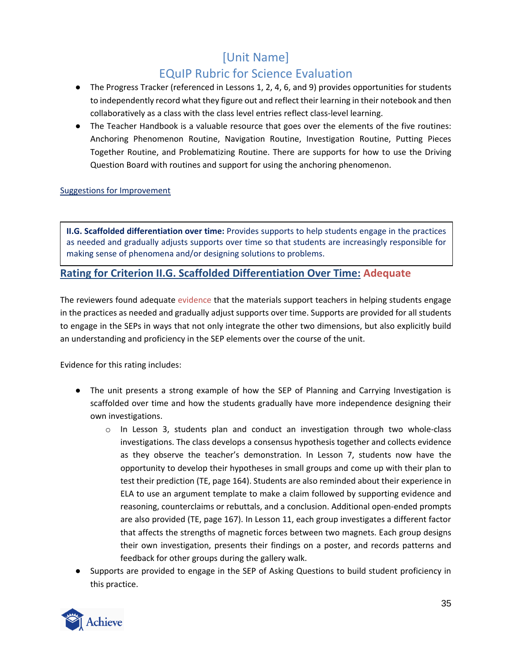## EQuIP Rubric for Science Evaluation

- The Progress Tracker (referenced in Lessons 1, 2, 4, 6, and 9) provides opportunities for students to independently record what they figure out and reflect their learning in their notebook and then collaboratively as a class with the class level entries reflect class-level learning.
- The Teacher Handbook is a valuable resource that goes over the elements of the five routines: Anchoring Phenomenon Routine, Navigation Routine, Investigation Routine, Putting Pieces Together Routine, and Problematizing Routine. There are supports for how to use the Driving Question Board with routines and support for using the anchoring phenomenon.

#### Suggestions for Improvement

**II.G. Scaffolded differentiation over time:** Provides supports to help students engage in the practices as needed and gradually adjusts supports over time so that students are increasingly responsible for making sense of phenomena and/or designing solutions to problems.

### **Rating for Criterion II.G. Scaffolded Differentiation Over Time: Adequate**

The reviewers found adequate evidence that the materials support teachers in helping students engage in the practices as needed and gradually adjust supports over time. Supports are provided for all students to engage in the SEPs in ways that not only integrate the other two dimensions, but also explicitly build an understanding and proficiency in the SEP elements over the course of the unit.

Evidence for this rating includes:

- The unit presents a strong example of how the SEP of Planning and Carrying Investigation is scaffolded over time and how the students gradually have more independence designing their own investigations.
	- $\circ$  In Lesson 3, students plan and conduct an investigation through two whole-class investigations. The class develops a consensus hypothesis together and collects evidence as they observe the teacher's demonstration. In Lesson 7, students now have the opportunity to develop their hypotheses in small groups and come up with their plan to test their prediction (TE, page 164). Students are also reminded about their experience in ELA to use an argument template to make a claim followed by supporting evidence and reasoning, counterclaims or rebuttals, and a conclusion. Additional open-ended prompts are also provided (TE, page 167). In Lesson 11, each group investigates a different factor that affects the strengths of magnetic forces between two magnets. Each group designs their own investigation, presents their findings on a poster, and records patterns and feedback for other groups during the gallery walk.
- Supports are provided to engage in the SEP of Asking Questions to build student proficiency in this practice.

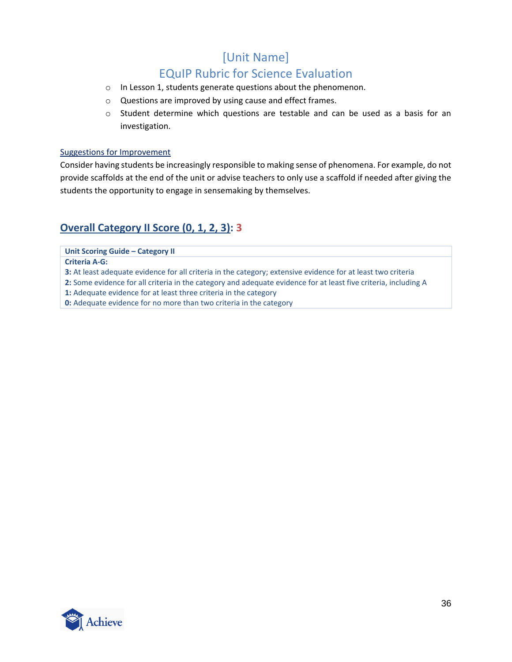- o In Lesson 1, students generate questions about the phenomenon.
- o Questions are improved by using cause and effect frames.
- $\circ$  Student determine which questions are testable and can be used as a basis for an investigation.

#### Suggestions for Improvement

Consider having students be increasingly responsible to making sense of phenomena. For example, do not provide scaffolds at the end of the unit or advise teachers to only use a scaffold if needed after giving the students the opportunity to engage in sensemaking by themselves.

### **Overall Category II Score (0, 1, 2, 3): 3**

**Unit Scoring Guide – Category II**

#### **Criteria A‐G:**

- **3:** At least adequate evidence for all criteria in the category; extensive evidence for at least two criteria
- **2:** Some evidence for all criteria in the category and adequate evidence for at least five criteria, including A

**1:** Adequate evidence for at least three criteria in the category

**0:** Adequate evidence for no more than two criteria in the category

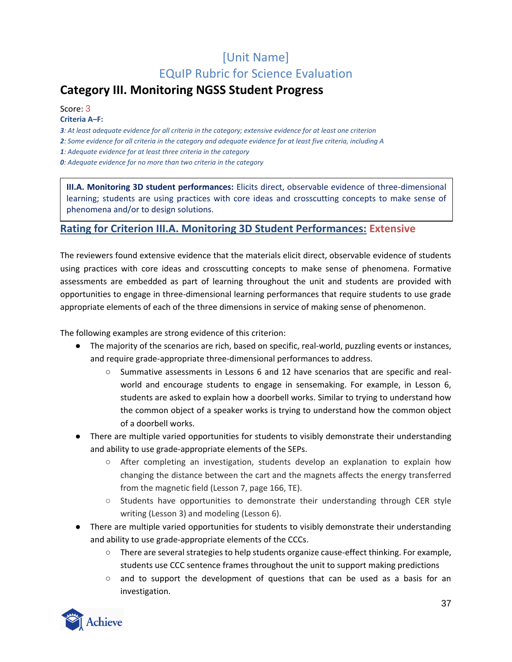## <span id="page-36-0"></span>**Category III. Monitoring NGSS Student Progress**

Score: 3 **Criteria A***–***F:**

*3: At least adequate evidence for all criteria in the category; extensive evidence for at least one criterion*

*2: Some evidence for all criteria in the category and adequate evidence for at least five criteria, including A*

*1: Adequate evidence for at least three criteria in the category*

*0: Adequate evidence for no more than two criteria in the category*

**III.A. Monitoring 3D student performances:** Elicits direct, observable evidence of three-dimensional learning; students are using practices with core ideas and crosscutting concepts to make sense of phenomena and/or to design solutions.

### **Rating for Criterion III.A. Monitoring 3D Student Performances: Extensive**

The reviewers found extensive evidence that the materials elicit direct, observable evidence of students using practices with core ideas and crosscutting concepts to make sense of phenomena. Formative assessments are embedded as part of learning throughout the unit and students are provided with opportunities to engage in three-dimensional learning performances that require students to use grade appropriate elements of each of the three dimensions in service of making sense of phenomenon.

- The majority of the scenarios are rich, based on specific, real-world, puzzling events or instances, and require grade-appropriate three-dimensional performances to address.
	- Summative assessments in Lessons 6 and 12 have scenarios that are specific and realworld and encourage students to engage in sensemaking. For example, in Lesson 6, students are asked to explain how a doorbell works. Similar to trying to understand how the common object of a speaker works is trying to understand how the common object of a doorbell works.
- There are multiple varied opportunities for students to visibly demonstrate their understanding and ability to use grade-appropriate elements of the SEPs.
	- After completing an investigation, students develop an explanation to explain how changing the distance between the cart and the magnets affects the energy transferred from the magnetic field (Lesson 7, page 166, TE).
	- Students have opportunities to demonstrate their understanding through CER style writing (Lesson 3) and modeling (Lesson 6).
- There are multiple varied opportunities for students to visibly demonstrate their understanding and ability to use grade-appropriate elements of the CCCs.
	- There are several strategies to help students organize cause-effect thinking. For example, students use CCC sentence frames throughout the unit to support making predictions
	- and to support the development of questions that can be used as a basis for an investigation.

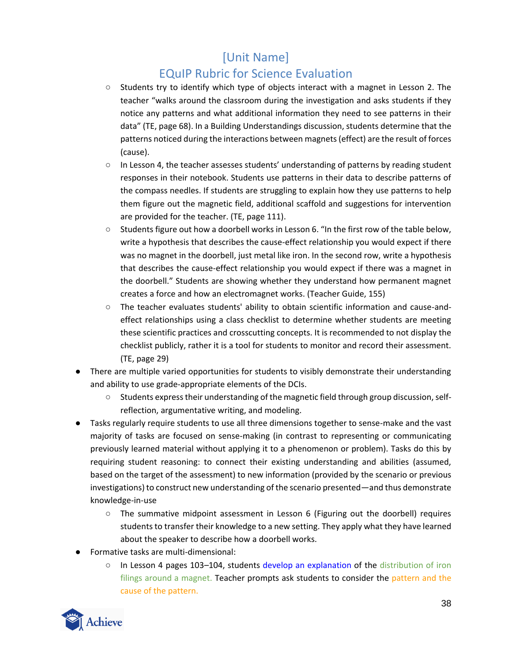- Students try to identify which type of objects interact with a magnet in Lesson 2. The teacher "walks around the classroom during the investigation and asks students if they notice any patterns and what additional information they need to see patterns in their data" (TE, page 68). In a Building Understandings discussion, students determine that the patterns noticed during the interactions between magnets (effect) are the result of forces (cause).
- In Lesson 4, the teacher assesses students' understanding of patterns by reading student responses in their notebook. Students use patterns in their data to describe patterns of the compass needles. If students are struggling to explain how they use patterns to help them figure out the magnetic field, additional scaffold and suggestions for intervention are provided for the teacher. (TE, page 111).
- Students figure out how a doorbell works in Lesson 6. "In the first row of the table below, write a hypothesis that describes the cause-effect relationship you would expect if there was no magnet in the doorbell, just metal like iron. In the second row, write a hypothesis that describes the cause-effect relationship you would expect if there was a magnet in the doorbell." Students are showing whether they understand how permanent magnet creates a force and how an electromagnet works. (Teacher Guide, 155)
- The teacher evaluates students' ability to obtain scientific information and cause-andeffect relationships using a class checklist to determine whether students are meeting these scientific practices and crosscutting concepts. It is recommended to not display the checklist publicly, rather it is a tool for students to monitor and record their assessment. (TE, page 29)
- There are multiple varied opportunities for students to visibly demonstrate their understanding and ability to use grade-appropriate elements of the DCIs.
	- Students express their understanding of the magnetic field through group discussion, selfreflection, argumentative writing, and modeling.
- Tasks regularly require students to use all three dimensions together to sense-make and the vast majority of tasks are focused on sense-making (in contrast to representing or communicating previously learned material without applying it to a phenomenon or problem). Tasks do this by requiring student reasoning: to connect their existing understanding and abilities (assumed, based on the target of the assessment) to new information (provided by the scenario or previous investigations) to construct new understanding of the scenario presented—and thus demonstrate knowledge-in-use
	- $\circ$  The summative midpoint assessment in Lesson 6 (Figuring out the doorbell) requires students to transfer their knowledge to a new setting. They apply what they have learned about the speaker to describe how a doorbell works.
- Formative tasks are multi-dimensional:
	- In Lesson 4 pages 103*–*104, students develop an explanation of the distribution of iron filings around a magnet. Teacher prompts ask students to consider the pattern and the cause of the pattern.

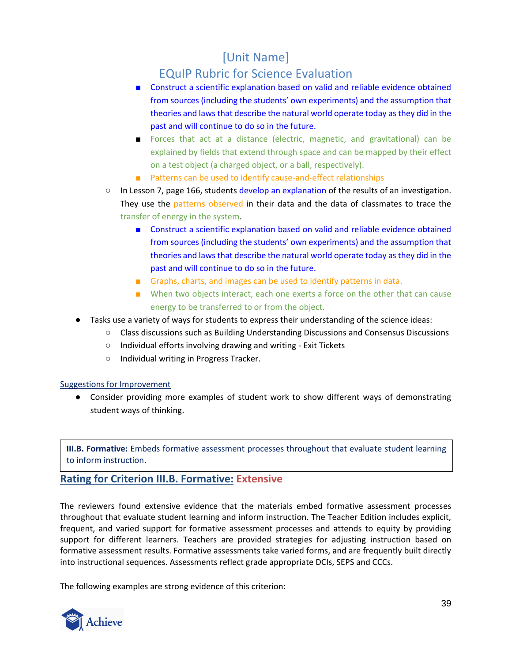## EQuIP Rubric for Science Evaluation

- Construct a scientific explanation based on valid and reliable evidence obtained from sources (including the students' own experiments) and the assumption that theories and laws that describe the natural world operate today as they did in the past and will continue to do so in the future.
- Forces that act at a distance (electric, magnetic, and gravitational) can be explained by fields that extend through space and can be mapped by their effect on a test object (a charged object, or a ball, respectively).
- Patterns can be used to identify cause-and-effect relationships
- In Lesson 7, page 166, students develop an explanation of the results of an investigation. They use the patterns observed in their data and the data of classmates to trace the transfer of energy in the system.
	- Construct a scientific explanation based on valid and reliable evidence obtained from sources (including the students' own experiments) and the assumption that theories and laws that describe the natural world operate today as they did in the past and will continue to do so in the future.
	- Graphs, charts, and images can be used to identify patterns in data.
	- When two objects interact, each one exerts a force on the other that can cause energy to be transferred to or from the object.
- Tasks use a variety of ways for students to express their understanding of the science ideas:
	- Class discussions such as Building Understanding Discussions and Consensus Discussions
	- Individual efforts involving drawing and writing Exit Tickets
	- Individual writing in Progress Tracker.

#### Suggestions for Improvement

● Consider providing more examples of student work to show different ways of demonstrating student ways of thinking.

**III.B. Formative:** Embeds formative assessment processes throughout that evaluate student learning to inform instruction.

### **Rating for Criterion III.B. Formative: Extensive**

The reviewers found extensive evidence that the materials embed formative assessment processes throughout that evaluate student learning and inform instruction. The Teacher Edition includes explicit, frequent, and varied support for formative assessment processes and attends to equity by providing support for different learners. Teachers are provided strategies for adjusting instruction based on formative assessment results. Formative assessments take varied forms, and are frequently built directly into instructional sequences. Assessments reflect grade appropriate DCIs, SEPS and CCCs.

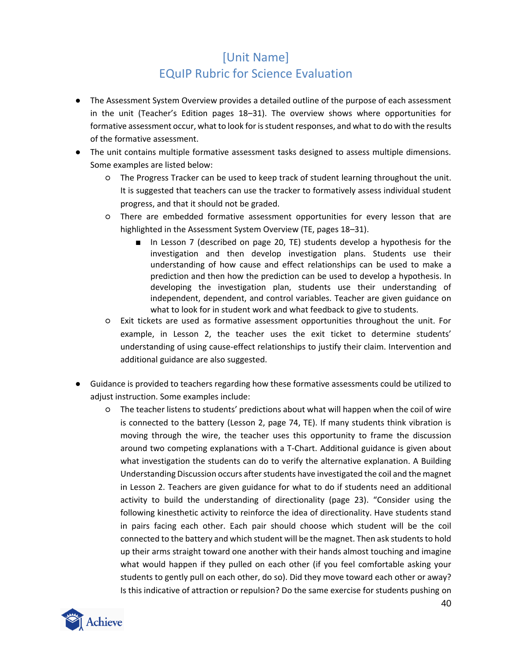- The Assessment System Overview provides a detailed outline of the purpose of each assessment in the unit (Teacher's Edition pages 18–31). The overview shows where opportunities for formative assessment occur, what to look for is student responses, and what to do with the results of the formative assessment.
- The unit contains multiple formative assessment tasks designed to assess multiple dimensions. Some examples are listed below:
	- The Progress Tracker can be used to keep track of student learning throughout the unit. It is suggested that teachers can use the tracker to formatively assess individual student progress, and that it should not be graded.
	- There are embedded formative assessment opportunities for every lesson that are highlighted in the Assessment System Overview (TE, pages 18–31).
		- In Lesson 7 (described on page 20, TE) students develop a hypothesis for the investigation and then develop investigation plans. Students use their understanding of how cause and effect relationships can be used to make a prediction and then how the prediction can be used to develop a hypothesis. In developing the investigation plan, students use their understanding of independent, dependent, and control variables. Teacher are given guidance on what to look for in student work and what feedback to give to students.
	- Exit tickets are used as formative assessment opportunities throughout the unit. For example, in Lesson 2, the teacher uses the exit ticket to determine students' understanding of using cause-effect relationships to justify their claim. Intervention and additional guidance are also suggested.
- Guidance is provided to teachers regarding how these formative assessments could be utilized to adjust instruction. Some examples include:
	- The teacher listens to students' predictions about what will happen when the coil of wire is connected to the battery (Lesson 2, page 74, TE). If many students think vibration is moving through the wire, the teacher uses this opportunity to frame the discussion around two competing explanations with a T-Chart. Additional guidance is given about what investigation the students can do to verify the alternative explanation. A Building Understanding Discussion occurs after students have investigated the coil and the magnet in Lesson 2. Teachers are given guidance for what to do if students need an additional activity to build the understanding of directionality (page 23). "Consider using the following kinesthetic activity to reinforce the idea of directionality. Have students stand in pairs facing each other. Each pair should choose which student will be the coil connected to the battery and which student will be the magnet. Then ask students to hold up their arms straight toward one another with their hands almost touching and imagine what would happen if they pulled on each other (if you feel comfortable asking your students to gently pull on each other, do so). Did they move toward each other or away? Is this indicative of attraction or repulsion? Do the same exercise for students pushing on

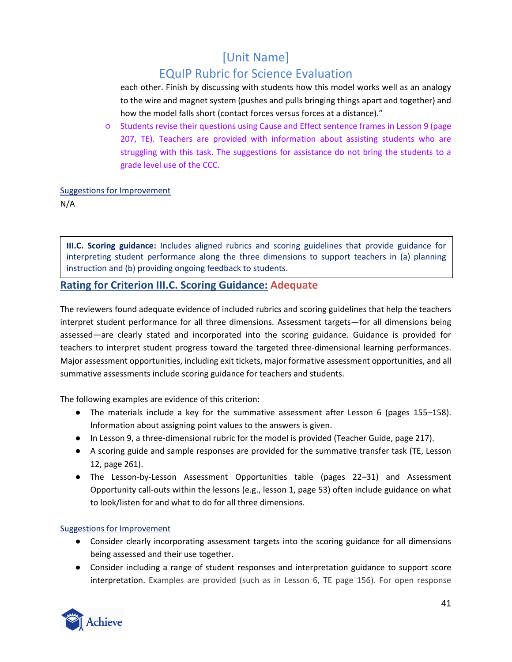## EQuIP Rubric for Science Evaluation

each other. Finish by discussing with students how this model works well as an analogy to the wire and magnet system (pushes and pulls bringing things apart and together) and how the model falls short (contact forces versus forces at a distance)."

○ Students revise their questions using Cause and Effect sentence frames in Lesson 9 (page 207, TE). Teachers are provided with information about assisting students who are struggling with this task. The suggestions for assistance do not bring the students to a grade level use of the CCC.

#### Suggestions for Improvement N/A

**III.C. Scoring guidance:** Includes aligned rubrics and scoring guidelines that provide guidance for interpreting student performance along the three dimensions to support teachers in (a) planning instruction and (b) providing ongoing feedback to students.

### **Rating for Criterion III.C. Scoring Guidance: Adequate**

The reviewers found adequate evidence of included rubrics and scoring guidelines that help the teachers interpret student performance for all three dimensions. Assessment targets—for all dimensions being assessed—are clearly stated and incorporated into the scoring guidance. Guidance is provided for teachers to interpret student progress toward the targeted three-dimensional learning performances. Major assessment opportunities, including exit tickets, major formative assessment opportunities, and all summative assessments include scoring guidance for teachers and students.

The following examples are evidence of this criterion:

- The materials include a key for the summative assessment after Lesson 6 (pages 155*–*158). Information about assigning point values to the answers is given.
- In Lesson 9, a three-dimensional rubric for the model is provided (Teacher Guide, page 217).
- A scoring guide and sample responses are provided for the summative transfer task (TE, Lesson 12, page 261).
- The Lesson-by-Lesson Assessment Opportunities table (pages 22*–*31) and Assessment Opportunity call-outs within the lessons (e.g., lesson 1, page 53) often include guidance on what to look/listen for and what to do for all three dimensions.

### Suggestions for Improvement

- Consider clearly incorporating assessment targets into the scoring guidance for all dimensions being assessed and their use together.
- Consider including a range of student responses and interpretation guidance to support score interpretation. Examples are provided (such as in Lesson 6, TE page 156). For open response

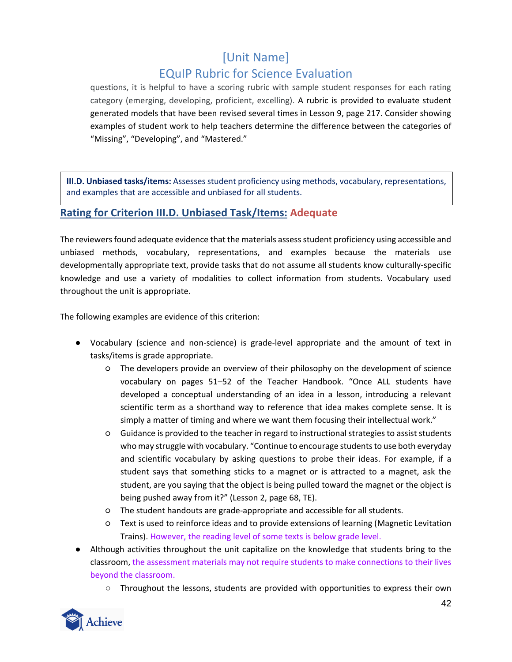questions, it is helpful to have a scoring rubric with sample student responses for each rating category (emerging, developing, proficient, excelling). A rubric is provided to evaluate student generated models that have been revised several times in Lesson 9, page 217. Consider showing examples of student work to help teachers determine the difference between the categories of "Missing", "Developing", and "Mastered."

**III.D. Unbiased tasks/items:** Assesses student proficiency using methods, vocabulary, representations, and examples that are accessible and unbiased for all students.

### **Rating for Criterion III.D. Unbiased Task/Items: Adequate**

The reviewers found adequate evidence that the materials assess student proficiency using accessible and unbiased methods, vocabulary, representations, and examples because the materials use developmentally appropriate text, provide tasks that do not assume all students know culturally-specific knowledge and use a variety of modalities to collect information from students. Vocabulary used throughout the unit is appropriate.

- Vocabulary (science and non-science) is grade-level appropriate and the amount of text in tasks/items is grade appropriate.
	- The developers provide an overview of their philosophy on the development of science vocabulary on pages 51*–*52 of the Teacher Handbook. "Once ALL students have developed a conceptual understanding of an idea in a lesson, introducing a relevant scientific term as a shorthand way to reference that idea makes complete sense. It is simply a matter of timing and where we want them focusing their intellectual work."
	- Guidance is provided to the teacher in regard to instructional strategies to assist students who may struggle with vocabulary. "Continue to encourage students to use both everyday and scientific vocabulary by asking questions to probe their ideas. For example, if a student says that something sticks to a magnet or is attracted to a magnet, ask the student, are you saying that the object is being pulled toward the magnet or the object is being pushed away from it?" (Lesson 2, page 68, TE).
	- The student handouts are grade-appropriate and accessible for all students.
	- Text is used to reinforce ideas and to provide extensions of learning (Magnetic Levitation Trains). However, the reading level of some texts is below grade level.
- Although activities throughout the unit capitalize on the knowledge that students bring to the classroom, the assessment materials may not require students to make connections to their lives beyond the classroom.
	- Throughout the lessons, students are provided with opportunities to express their own

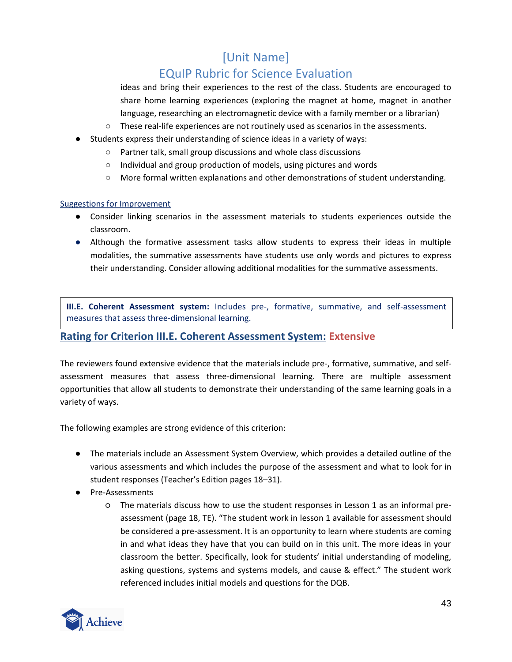## EQuIP Rubric for Science Evaluation

ideas and bring their experiences to the rest of the class. Students are encouraged to share home learning experiences (exploring the magnet at home, magnet in another language, researching an electromagnetic device with a family member or a librarian)

- These real-life experiences are not routinely used as scenarios in the assessments.
- Students express their understanding of science ideas in a variety of ways:
	- Partner talk, small group discussions and whole class discussions
	- Individual and group production of models, using pictures and words
	- More formal written explanations and other demonstrations of student understanding.

#### Suggestions for Improvement

- Consider linking scenarios in the assessment materials to students experiences outside the classroom.
- Although the formative assessment tasks allow students to express their ideas in multiple modalities, the summative assessments have students use only words and pictures to express their understanding. Consider allowing additional modalities for the summative assessments.

**III.E. Coherent Assessment system:** Includes pre-, formative, summative, and self-assessment measures that assess three-dimensional learning.

### **Rating for Criterion III.E. Coherent Assessment System: Extensive**

The reviewers found extensive evidence that the materials include pre-, formative, summative, and selfassessment measures that assess three-dimensional learning. There are multiple assessment opportunities that allow all students to demonstrate their understanding of the same learning goals in a variety of ways.

- The materials include an Assessment System Overview, which provides a detailed outline of the various assessments and which includes the purpose of the assessment and what to look for in student responses (Teacher's Edition pages 18–31).
- Pre-Assessments
	- The materials discuss how to use the student responses in Lesson 1 as an informal preassessment (page 18, TE). "The student work in lesson 1 available for assessment should be considered a pre-assessment. It is an opportunity to learn where students are coming in and what ideas they have that you can build on in this unit. The more ideas in your classroom the better. Specifically, look for students' initial understanding of modeling, asking questions, systems and systems models, and cause & effect." The student work referenced includes initial models and questions for the DQB.

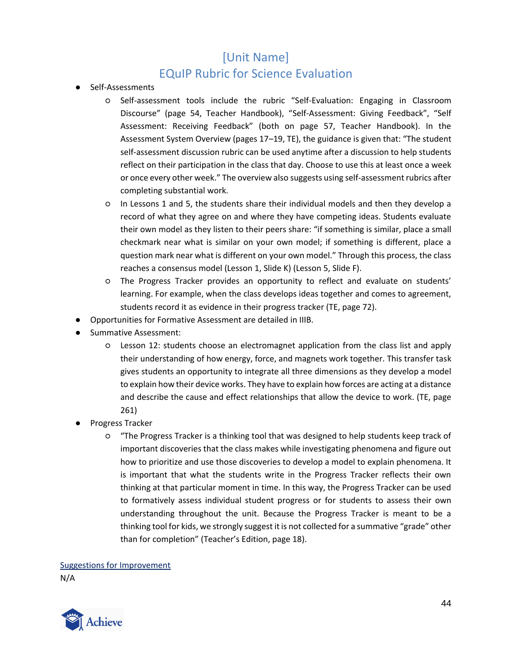- Self-Assessments
	- Self-assessment tools include the rubric "Self-Evaluation: Engaging in Classroom Discourse" (page 54, Teacher Handbook), "Self-Assessment: Giving Feedback", "Self Assessment: Receiving Feedback" (both on page 57, Teacher Handbook). In the Assessment System Overview (pages 17–19, TE), the guidance is given that: "The student self-assessment discussion rubric can be used anytime after a discussion to help students reflect on their participation in the class that day. Choose to use this at least once a week or once every other week." The overview also suggests using self-assessment rubrics after completing substantial work.
	- In Lessons 1 and 5, the students share their individual models and then they develop a record of what they agree on and where they have competing ideas. Students evaluate their own model as they listen to their peers share: "if something is similar, place a small checkmark near what is similar on your own model; if something is different, place a question mark near what is different on your own model." Through this process, the class reaches a consensus model (Lesson 1, Slide K) (Lesson 5, Slide F).
	- The Progress Tracker provides an opportunity to reflect and evaluate on students' learning. For example, when the class develops ideas together and comes to agreement, students record it as evidence in their progress tracker (TE, page 72).
- Opportunities for Formative Assessment are detailed in IIIB.
- Summative Assessment:
	- Lesson 12: students choose an electromagnet application from the class list and apply their understanding of how energy, force, and magnets work together. This transfer task gives students an opportunity to integrate all three dimensions as they develop a model to explain how their device works. They have to explain how forces are acting at a distance and describe the cause and effect relationships that allow the device to work. (TE, page 261)
- Progress Tracker
	- "The Progress Tracker is a thinking tool that was designed to help students keep track of important discoveries that the class makes while investigating phenomena and figure out how to prioritize and use those discoveries to develop a model to explain phenomena. It is important that what the students write in the Progress Tracker reflects their own thinking at that particular moment in time. In this way, the Progress Tracker can be used to formatively assess individual student progress or for students to assess their own understanding throughout the unit. Because the Progress Tracker is meant to be a thinking tool for kids, we strongly suggest it is not collected for a summative "grade" other than for completion" (Teacher's Edition, page 18).

Suggestions for Improvement N/A

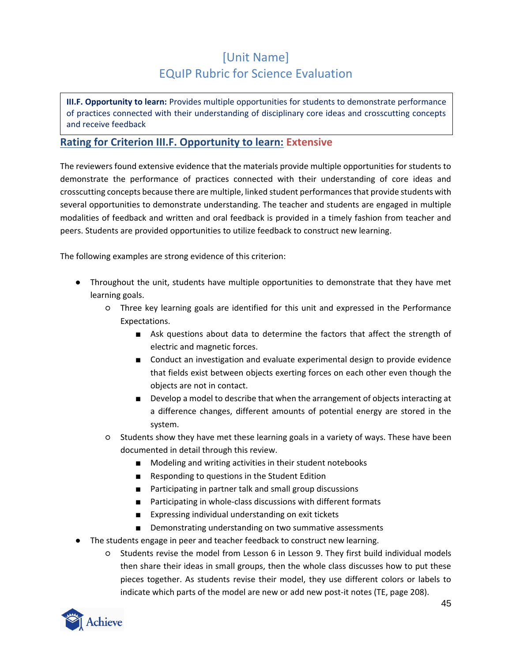**III.F. Opportunity to learn:** Provides multiple opportunities for students to demonstrate performance of practices connected with their understanding of disciplinary core ideas and crosscutting concepts and receive feedback

#### **Rating for Criterion III.F. Opportunity to learn: Extensive**

The reviewers found extensive evidence that the materials provide multiple opportunities for students to demonstrate the performance of practices connected with their understanding of core ideas and crosscutting concepts because there are multiple, linked student performances that provide students with several opportunities to demonstrate understanding. The teacher and students are engaged in multiple modalities of feedback and written and oral feedback is provided in a timely fashion from teacher and peers. Students are provided opportunities to utilize feedback to construct new learning.

- Throughout the unit, students have multiple opportunities to demonstrate that they have met learning goals.
	- Three key learning goals are identified for this unit and expressed in the Performance Expectations.
		- Ask questions about data to determine the factors that affect the strength of electric and magnetic forces.
		- Conduct an investigation and evaluate experimental design to provide evidence that fields exist between objects exerting forces on each other even though the objects are not in contact.
		- Develop a model to describe that when the arrangement of objects interacting at a difference changes, different amounts of potential energy are stored in the system.
	- Students show they have met these learning goals in a variety of ways. These have been documented in detail through this review.
		- Modeling and writing activities in their student notebooks
		- Responding to questions in the Student Edition
		- Participating in partner talk and small group discussions
		- Participating in whole-class discussions with different formats
		- Expressing individual understanding on exit tickets
		- Demonstrating understanding on two summative assessments
- The students engage in peer and teacher feedback to construct new learning.
	- Students revise the model from Lesson 6 in Lesson 9. They first build individual models then share their ideas in small groups, then the whole class discusses how to put these pieces together. As students revise their model, they use different colors or labels to indicate which parts of the model are new or add new post-it notes (TE, page 208).

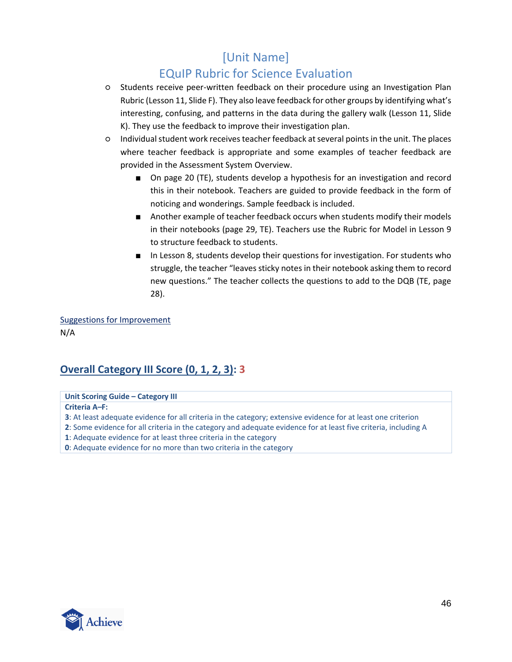## EQuIP Rubric for Science Evaluation

- Students receive peer-written feedback on their procedure using an Investigation Plan Rubric (Lesson 11, Slide F). They also leave feedback for other groups by identifying what's interesting, confusing, and patterns in the data during the gallery walk (Lesson 11, Slide K). They use the feedback to improve their investigation plan.
- Individual student work receives teacher feedback at several points in the unit. The places where teacher feedback is appropriate and some examples of teacher feedback are provided in the Assessment System Overview.
	- On page 20 (TE), students develop a hypothesis for an investigation and record this in their notebook. Teachers are guided to provide feedback in the form of noticing and wonderings. Sample feedback is included.
	- Another example of teacher feedback occurs when students modify their models in their notebooks (page 29, TE). Teachers use the Rubric for Model in Lesson 9 to structure feedback to students.
	- In Lesson 8, students develop their questions for investigation. For students who struggle, the teacher "leaves sticky notes in their notebook asking them to record new questions." The teacher collects the questions to add to the DQB (TE, page 28).

Suggestions for Improvement N/A

### **Overall Category III Score (0, 1, 2, 3): 3**

#### **Unit Scoring Guide – Category III**

**Criteria A***–***F:**

- **3**: At least adequate evidence for all criteria in the category; extensive evidence for at least one criterion
- **2**: Some evidence for all criteria in the category and adequate evidence for at least five criteria, including A
- **1**: Adequate evidence for at least three criteria in the category
- <span id="page-45-0"></span>**0**: Adequate evidence for no more than two criteria in the category